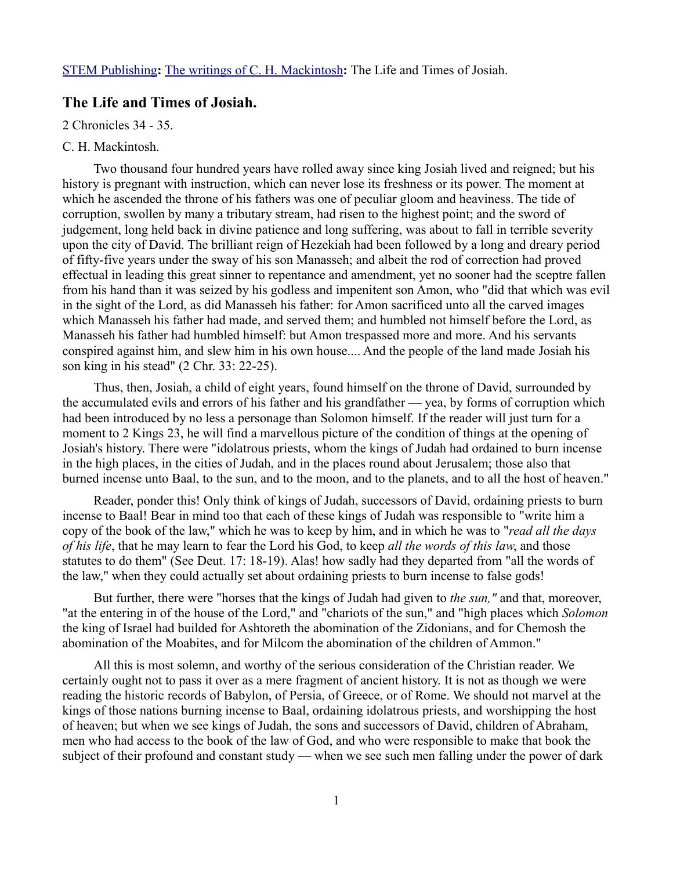[STEM Publishing](http://www.stempublishing.com/)**:** [The writings of C. H. Mackintosh](http://www.stempublishing.com/authors/mackintosh/index.html)**:** The Life and Times of Josiah.

# **The Life and Times of Josiah.**

2 Chronicles 34 - 35.

## C. H. Mackintosh.

Two thousand four hundred years have rolled away since king Josiah lived and reigned; but his history is pregnant with instruction, which can never lose its freshness or its power. The moment at which he ascended the throne of his fathers was one of peculiar gloom and heaviness. The tide of corruption, swollen by many a tributary stream, had risen to the highest point; and the sword of judgement, long held back in divine patience and long suffering, was about to fall in terrible severity upon the city of David. The brilliant reign of Hezekiah had been followed by a long and dreary period of fifty-five years under the sway of his son Manasseh; and albeit the rod of correction had proved effectual in leading this great sinner to repentance and amendment, yet no sooner had the sceptre fallen from his hand than it was seized by his godless and impenitent son Amon, who "did that which was evil in the sight of the Lord, as did Manasseh his father: for Amon sacrificed unto all the carved images which Manasseh his father had made, and served them; and humbled not himself before the Lord, as Manasseh his father had humbled himself: but Amon trespassed more and more. And his servants conspired against him, and slew him in his own house.... And the people of the land made Josiah his son king in his stead" (2 Chr. 33: 22-25).

Thus, then, Josiah, a child of eight years, found himself on the throne of David, surrounded by the accumulated evils and errors of his father and his grandfather — yea, by forms of corruption which had been introduced by no less a personage than Solomon himself. If the reader will just turn for a moment to 2 Kings 23, he will find a marvellous picture of the condition of things at the opening of Josiah's history. There were "idolatrous priests, whom the kings of Judah had ordained to burn incense in the high places, in the cities of Judah, and in the places round about Jerusalem; those also that burned incense unto Baal, to the sun, and to the moon, and to the planets, and to all the host of heaven."

Reader, ponder this! Only think of kings of Judah, successors of David, ordaining priests to burn incense to Baal! Bear in mind too that each of these kings of Judah was responsible to "write him a copy of the book of the law," which he was to keep by him, and in which he was to "*read all the days of his life*, that he may learn to fear the Lord his God, to keep *all the words of this law*, and those statutes to do them" (See Deut. 17: 18-19). Alas! how sadly had they departed from "all the words of the law," when they could actually set about ordaining priests to burn incense to false gods!

But further, there were "horses that the kings of Judah had given to *the sun,"* and that, moreover, "at the entering in of the house of the Lord," and "chariots of the sun," and "high places which *Solomon* the king of Israel had builded for Ashtoreth the abomination of the Zidonians, and for Chemosh the abomination of the Moabites, and for Milcom the abomination of the children of Ammon."

All this is most solemn, and worthy of the serious consideration of the Christian reader. We certainly ought not to pass it over as a mere fragment of ancient history. It is not as though we were reading the historic records of Babylon, of Persia, of Greece, or of Rome. We should not marvel at the kings of those nations burning incense to Baal, ordaining idolatrous priests, and worshipping the host of heaven; but when we see kings of Judah, the sons and successors of David, children of Abraham, men who had access to the book of the law of God, and who were responsible to make that book the subject of their profound and constant study — when we see such men falling under the power of dark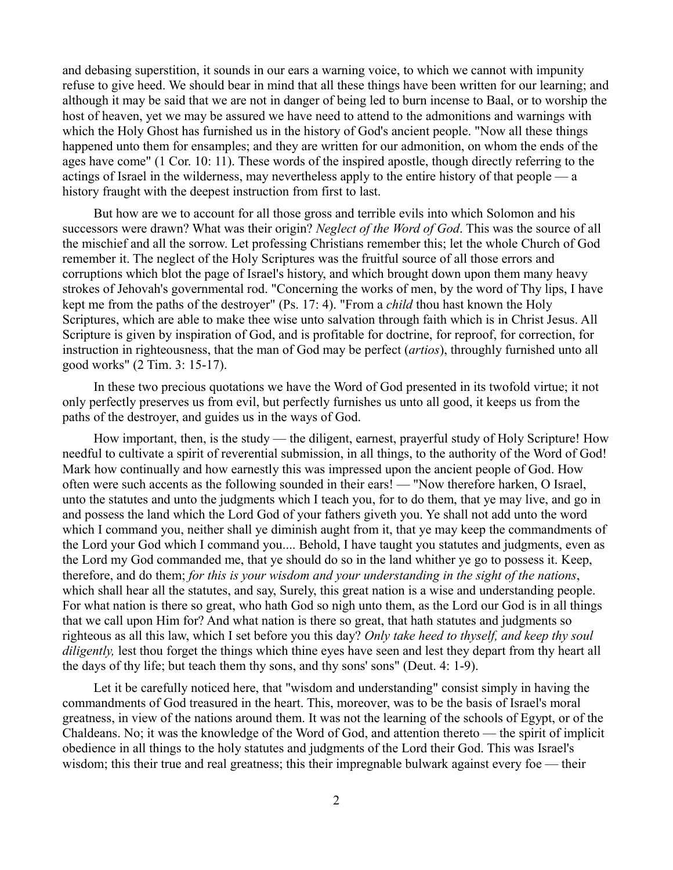and debasing superstition, it sounds in our ears a warning voice, to which we cannot with impunity refuse to give heed. We should bear in mind that all these things have been written for our learning; and although it may be said that we are not in danger of being led to burn incense to Baal, or to worship the host of heaven, yet we may be assured we have need to attend to the admonitions and warnings with which the Holy Ghost has furnished us in the history of God's ancient people. "Now all these things happened unto them for ensamples; and they are written for our admonition, on whom the ends of the ages have come" (1 Cor. 10: 11). These words of the inspired apostle, though directly referring to the actings of Israel in the wilderness, may nevertheless apply to the entire history of that people — a history fraught with the deepest instruction from first to last.

But how are we to account for all those gross and terrible evils into which Solomon and his successors were drawn? What was their origin? *Neglect of the Word of God*. This was the source of all the mischief and all the sorrow. Let professing Christians remember this; let the whole Church of God remember it. The neglect of the Holy Scriptures was the fruitful source of all those errors and corruptions which blot the page of Israel's history, and which brought down upon them many heavy strokes of Jehovah's governmental rod. "Concerning the works of men, by the word of Thy lips, I have kept me from the paths of the destroyer" (Ps. 17: 4). "From a *child* thou hast known the Holy Scriptures, which are able to make thee wise unto salvation through faith which is in Christ Jesus. All Scripture is given by inspiration of God, and is profitable for doctrine, for reproof, for correction, for instruction in righteousness, that the man of God may be perfect (*artios*), throughly furnished unto all good works" (2 Tim. 3: 15-17).

In these two precious quotations we have the Word of God presented in its twofold virtue; it not only perfectly preserves us from evil, but perfectly furnishes us unto all good, it keeps us from the paths of the destroyer, and guides us in the ways of God.

How important, then, is the study — the diligent, earnest, prayerful study of Holy Scripture! How needful to cultivate a spirit of reverential submission, in all things, to the authority of the Word of God! Mark how continually and how earnestly this was impressed upon the ancient people of God. How often were such accents as the following sounded in their ears! — "Now therefore harken, O Israel, unto the statutes and unto the judgments which I teach you, for to do them, that ye may live, and go in and possess the land which the Lord God of your fathers giveth you. Ye shall not add unto the word which I command you, neither shall ye diminish aught from it, that ye may keep the commandments of the Lord your God which I command you.... Behold, I have taught you statutes and judgments, even as the Lord my God commanded me, that ye should do so in the land whither ye go to possess it. Keep, therefore, and do them; *for this is your wisdom and your understanding in the sight of the nations*, which shall hear all the statutes, and say, Surely, this great nation is a wise and understanding people. For what nation is there so great, who hath God so nigh unto them, as the Lord our God is in all things that we call upon Him for? And what nation is there so great, that hath statutes and judgments so righteous as all this law, which I set before you this day? *Only take heed to thyself, and keep thy soul diligently,* lest thou forget the things which thine eyes have seen and lest they depart from thy heart all the days of thy life; but teach them thy sons, and thy sons' sons" (Deut. 4: 1-9).

Let it be carefully noticed here, that "wisdom and understanding" consist simply in having the commandments of God treasured in the heart. This, moreover, was to be the basis of Israel's moral greatness, in view of the nations around them. It was not the learning of the schools of Egypt, or of the Chaldeans. No; it was the knowledge of the Word of God, and attention thereto — the spirit of implicit obedience in all things to the holy statutes and judgments of the Lord their God. This was Israel's wisdom; this their true and real greatness; this their impregnable bulwark against every foe — their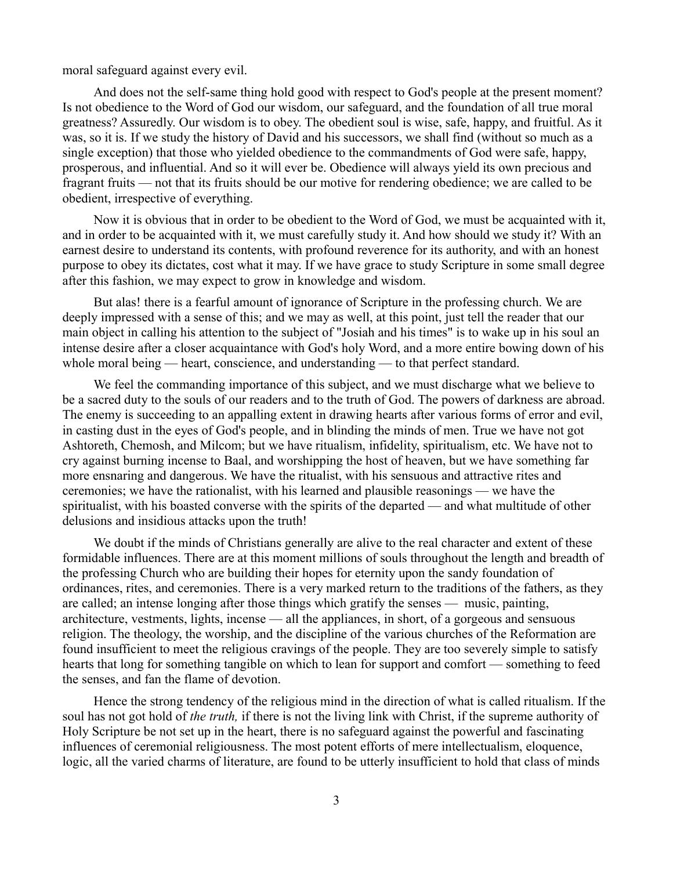moral safeguard against every evil.

And does not the self-same thing hold good with respect to God's people at the present moment? Is not obedience to the Word of God our wisdom, our safeguard, and the foundation of all true moral greatness? Assuredly. Our wisdom is to obey. The obedient soul is wise, safe, happy, and fruitful. As it was, so it is. If we study the history of David and his successors, we shall find (without so much as a single exception) that those who yielded obedience to the commandments of God were safe, happy, prosperous, and influential. And so it will ever be. Obedience will always yield its own precious and fragrant fruits — not that its fruits should be our motive for rendering obedience; we are called to be obedient, irrespective of everything.

Now it is obvious that in order to be obedient to the Word of God, we must be acquainted with it, and in order to be acquainted with it, we must carefully study it. And how should we study it? With an earnest desire to understand its contents, with profound reverence for its authority, and with an honest purpose to obey its dictates, cost what it may. If we have grace to study Scripture in some small degree after this fashion, we may expect to grow in knowledge and wisdom.

But alas! there is a fearful amount of ignorance of Scripture in the professing church. We are deeply impressed with a sense of this; and we may as well, at this point, just tell the reader that our main object in calling his attention to the subject of "Josiah and his times" is to wake up in his soul an intense desire after a closer acquaintance with God's holy Word, and a more entire bowing down of his whole moral being — heart, conscience, and understanding — to that perfect standard.

We feel the commanding importance of this subject, and we must discharge what we believe to be a sacred duty to the souls of our readers and to the truth of God. The powers of darkness are abroad. The enemy is succeeding to an appalling extent in drawing hearts after various forms of error and evil, in casting dust in the eyes of God's people, and in blinding the minds of men. True we have not got Ashtoreth, Chemosh, and Milcom; but we have ritualism, infidelity, spiritualism, etc. We have not to cry against burning incense to Baal, and worshipping the host of heaven, but we have something far more ensnaring and dangerous. We have the ritualist, with his sensuous and attractive rites and ceremonies; we have the rationalist, with his learned and plausible reasonings — we have the spiritualist, with his boasted converse with the spirits of the departed — and what multitude of other delusions and insidious attacks upon the truth!

We doubt if the minds of Christians generally are alive to the real character and extent of these formidable influences. There are at this moment millions of souls throughout the length and breadth of the professing Church who are building their hopes for eternity upon the sandy foundation of ordinances, rites, and ceremonies. There is a very marked return to the traditions of the fathers, as they are called; an intense longing after those things which gratify the senses — music, painting, architecture, vestments, lights, incense — all the appliances, in short, of a gorgeous and sensuous religion. The theology, the worship, and the discipline of the various churches of the Reformation are found insufficient to meet the religious cravings of the people. They are too severely simple to satisfy hearts that long for something tangible on which to lean for support and comfort — something to feed the senses, and fan the flame of devotion.

Hence the strong tendency of the religious mind in the direction of what is called ritualism. If the soul has not got hold of *the truth,* if there is not the living link with Christ, if the supreme authority of Holy Scripture be not set up in the heart, there is no safeguard against the powerful and fascinating influences of ceremonial religiousness. The most potent efforts of mere intellectualism, eloquence, logic, all the varied charms of literature, are found to be utterly insufficient to hold that class of minds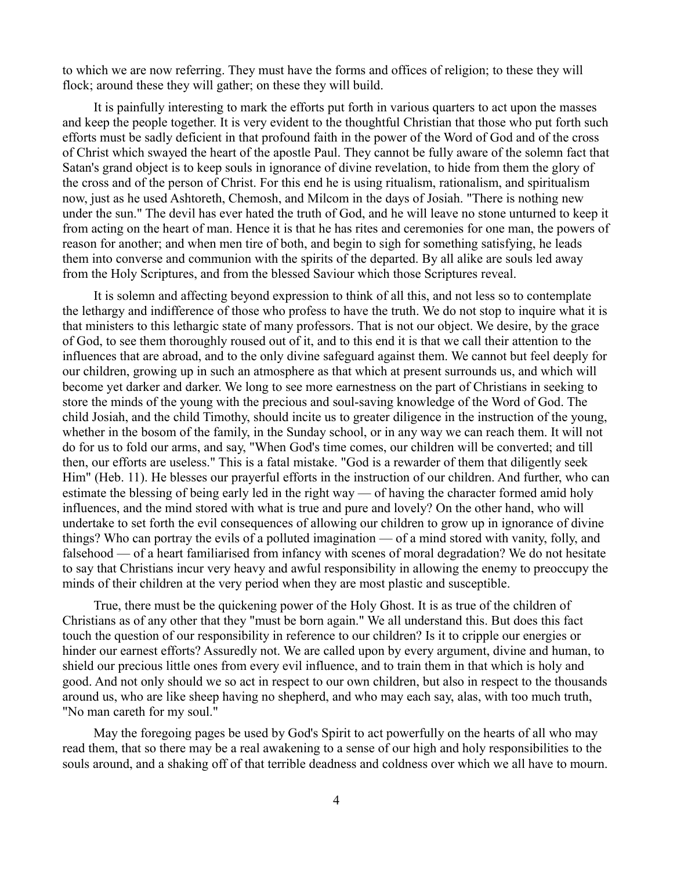to which we are now referring. They must have the forms and offices of religion; to these they will flock; around these they will gather; on these they will build.

It is painfully interesting to mark the efforts put forth in various quarters to act upon the masses and keep the people together. It is very evident to the thoughtful Christian that those who put forth such efforts must be sadly deficient in that profound faith in the power of the Word of God and of the cross of Christ which swayed the heart of the apostle Paul. They cannot be fully aware of the solemn fact that Satan's grand object is to keep souls in ignorance of divine revelation, to hide from them the glory of the cross and of the person of Christ. For this end he is using ritualism, rationalism, and spiritualism now, just as he used Ashtoreth, Chemosh, and Milcom in the days of Josiah. "There is nothing new under the sun." The devil has ever hated the truth of God, and he will leave no stone unturned to keep it from acting on the heart of man. Hence it is that he has rites and ceremonies for one man, the powers of reason for another; and when men tire of both, and begin to sigh for something satisfying, he leads them into converse and communion with the spirits of the departed. By all alike are souls led away from the Holy Scriptures, and from the blessed Saviour which those Scriptures reveal.

It is solemn and affecting beyond expression to think of all this, and not less so to contemplate the lethargy and indifference of those who profess to have the truth. We do not stop to inquire what it is that ministers to this lethargic state of many professors. That is not our object. We desire, by the grace of God, to see them thoroughly roused out of it, and to this end it is that we call their attention to the influences that are abroad, and to the only divine safeguard against them. We cannot but feel deeply for our children, growing up in such an atmosphere as that which at present surrounds us, and which will become yet darker and darker. We long to see more earnestness on the part of Christians in seeking to store the minds of the young with the precious and soul-saving knowledge of the Word of God. The child Josiah, and the child Timothy, should incite us to greater diligence in the instruction of the young, whether in the bosom of the family, in the Sunday school, or in any way we can reach them. It will not do for us to fold our arms, and say, "When God's time comes, our children will be converted; and till then, our efforts are useless." This is a fatal mistake. "God is a rewarder of them that diligently seek Him" (Heb. 11). He blesses our prayerful efforts in the instruction of our children. And further, who can estimate the blessing of being early led in the right way — of having the character formed amid holy influences, and the mind stored with what is true and pure and lovely? On the other hand, who will undertake to set forth the evil consequences of allowing our children to grow up in ignorance of divine things? Who can portray the evils of a polluted imagination — of a mind stored with vanity, folly, and falsehood — of a heart familiarised from infancy with scenes of moral degradation? We do not hesitate to say that Christians incur very heavy and awful responsibility in allowing the enemy to preoccupy the minds of their children at the very period when they are most plastic and susceptible.

True, there must be the quickening power of the Holy Ghost. It is as true of the children of Christians as of any other that they "must be born again." We all understand this. But does this fact touch the question of our responsibility in reference to our children? Is it to cripple our energies or hinder our earnest efforts? Assuredly not. We are called upon by every argument, divine and human, to shield our precious little ones from every evil influence, and to train them in that which is holy and good. And not only should we so act in respect to our own children, but also in respect to the thousands around us, who are like sheep having no shepherd, and who may each say, alas, with too much truth, "No man careth for my soul."

May the foregoing pages be used by God's Spirit to act powerfully on the hearts of all who may read them, that so there may be a real awakening to a sense of our high and holy responsibilities to the souls around, and a shaking off of that terrible deadness and coldness over which we all have to mourn.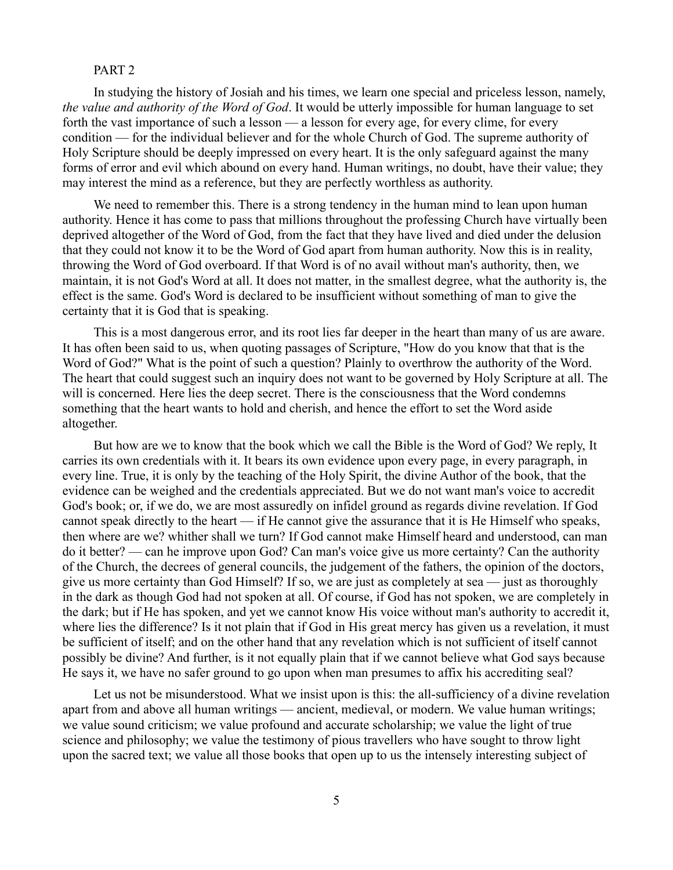### PART 2

In studying the history of Josiah and his times, we learn one special and priceless lesson, namely, *the value and authority of the Word of God*. It would be utterly impossible for human language to set forth the vast importance of such a lesson — a lesson for every age, for every clime, for every condition — for the individual believer and for the whole Church of God. The supreme authority of Holy Scripture should be deeply impressed on every heart. It is the only safeguard against the many forms of error and evil which abound on every hand. Human writings, no doubt, have their value; they may interest the mind as a reference, but they are perfectly worthless as authority.

We need to remember this. There is a strong tendency in the human mind to lean upon human authority. Hence it has come to pass that millions throughout the professing Church have virtually been deprived altogether of the Word of God, from the fact that they have lived and died under the delusion that they could not know it to be the Word of God apart from human authority. Now this is in reality, throwing the Word of God overboard. If that Word is of no avail without man's authority, then, we maintain, it is not God's Word at all. It does not matter, in the smallest degree, what the authority is, the effect is the same. God's Word is declared to be insufficient without something of man to give the certainty that it is God that is speaking.

This is a most dangerous error, and its root lies far deeper in the heart than many of us are aware. It has often been said to us, when quoting passages of Scripture, "How do you know that that is the Word of God?" What is the point of such a question? Plainly to overthrow the authority of the Word. The heart that could suggest such an inquiry does not want to be governed by Holy Scripture at all. The will is concerned. Here lies the deep secret. There is the consciousness that the Word condemns something that the heart wants to hold and cherish, and hence the effort to set the Word aside altogether.

But how are we to know that the book which we call the Bible is the Word of God? We reply, It carries its own credentials with it. It bears its own evidence upon every page, in every paragraph, in every line. True, it is only by the teaching of the Holy Spirit, the divine Author of the book, that the evidence can be weighed and the credentials appreciated. But we do not want man's voice to accredit God's book; or, if we do, we are most assuredly on infidel ground as regards divine revelation. If God cannot speak directly to the heart — if He cannot give the assurance that it is He Himself who speaks, then where are we? whither shall we turn? If God cannot make Himself heard and understood, can man do it better? — can he improve upon God? Can man's voice give us more certainty? Can the authority of the Church, the decrees of general councils, the judgement of the fathers, the opinion of the doctors, give us more certainty than God Himself? If so, we are just as completely at sea — just as thoroughly in the dark as though God had not spoken at all. Of course, if God has not spoken, we are completely in the dark; but if He has spoken, and yet we cannot know His voice without man's authority to accredit it, where lies the difference? Is it not plain that if God in His great mercy has given us a revelation, it must be sufficient of itself; and on the other hand that any revelation which is not sufficient of itself cannot possibly be divine? And further, is it not equally plain that if we cannot believe what God says because He says it, we have no safer ground to go upon when man presumes to affix his accrediting seal?

Let us not be misunderstood. What we insist upon is this: the all-sufficiency of a divine revelation apart from and above all human writings — ancient, medieval, or modern. We value human writings; we value sound criticism; we value profound and accurate scholarship; we value the light of true science and philosophy; we value the testimony of pious travellers who have sought to throw light upon the sacred text; we value all those books that open up to us the intensely interesting subject of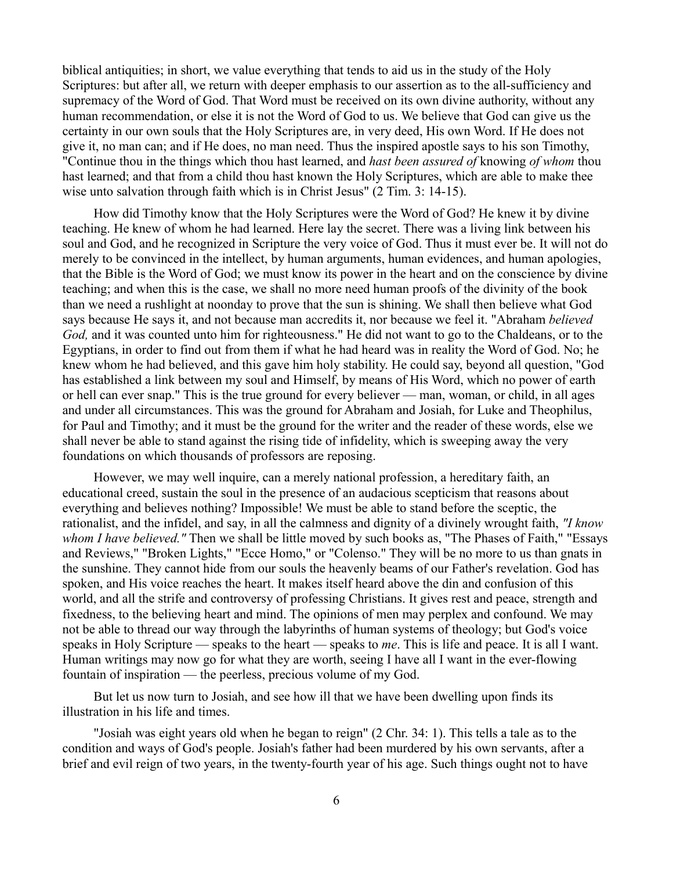biblical antiquities; in short, we value everything that tends to aid us in the study of the Holy Scriptures: but after all, we return with deeper emphasis to our assertion as to the all-sufficiency and supremacy of the Word of God. That Word must be received on its own divine authority, without any human recommendation, or else it is not the Word of God to us. We believe that God can give us the certainty in our own souls that the Holy Scriptures are, in very deed, His own Word. If He does not give it, no man can; and if He does, no man need. Thus the inspired apostle says to his son Timothy, "Continue thou in the things which thou hast learned, and *hast been assured of* knowing *of whom* thou hast learned; and that from a child thou hast known the Holy Scriptures, which are able to make thee wise unto salvation through faith which is in Christ Jesus" (2 Tim. 3: 14-15).

How did Timothy know that the Holy Scriptures were the Word of God? He knew it by divine teaching. He knew of whom he had learned. Here lay the secret. There was a living link between his soul and God, and he recognized in Scripture the very voice of God. Thus it must ever be. It will not do merely to be convinced in the intellect, by human arguments, human evidences, and human apologies, that the Bible is the Word of God; we must know its power in the heart and on the conscience by divine teaching; and when this is the case, we shall no more need human proofs of the divinity of the book than we need a rushlight at noonday to prove that the sun is shining. We shall then believe what God says because He says it, and not because man accredits it, nor because we feel it. "Abraham *believed God,* and it was counted unto him for righteousness." He did not want to go to the Chaldeans, or to the Egyptians, in order to find out from them if what he had heard was in reality the Word of God. No; he knew whom he had believed, and this gave him holy stability. He could say, beyond all question, "God has established a link between my soul and Himself, by means of His Word, which no power of earth or hell can ever snap." This is the true ground for every believer — man, woman, or child, in all ages and under all circumstances. This was the ground for Abraham and Josiah, for Luke and Theophilus, for Paul and Timothy; and it must be the ground for the writer and the reader of these words, else we shall never be able to stand against the rising tide of infidelity, which is sweeping away the very foundations on which thousands of professors are reposing.

However, we may well inquire, can a merely national profession, a hereditary faith, an educational creed, sustain the soul in the presence of an audacious scepticism that reasons about everything and believes nothing? Impossible! We must be able to stand before the sceptic, the rationalist, and the infidel, and say, in all the calmness and dignity of a divinely wrought faith, *"I know whom I have believed."* Then we shall be little moved by such books as, "The Phases of Faith," "Essays and Reviews," "Broken Lights," "Ecce Homo," or "Colenso." They will be no more to us than gnats in the sunshine. They cannot hide from our souls the heavenly beams of our Father's revelation. God has spoken, and His voice reaches the heart. It makes itself heard above the din and confusion of this world, and all the strife and controversy of professing Christians. It gives rest and peace, strength and fixedness, to the believing heart and mind. The opinions of men may perplex and confound. We may not be able to thread our way through the labyrinths of human systems of theology; but God's voice speaks in Holy Scripture — speaks to the heart — speaks to *me*. This is life and peace. It is all I want. Human writings may now go for what they are worth, seeing I have all I want in the ever-flowing fountain of inspiration — the peerless, precious volume of my God.

But let us now turn to Josiah, and see how ill that we have been dwelling upon finds its illustration in his life and times.

"Josiah was eight years old when he began to reign" (2 Chr. 34: 1). This tells a tale as to the condition and ways of God's people. Josiah's father had been murdered by his own servants, after a brief and evil reign of two years, in the twenty-fourth year of his age. Such things ought not to have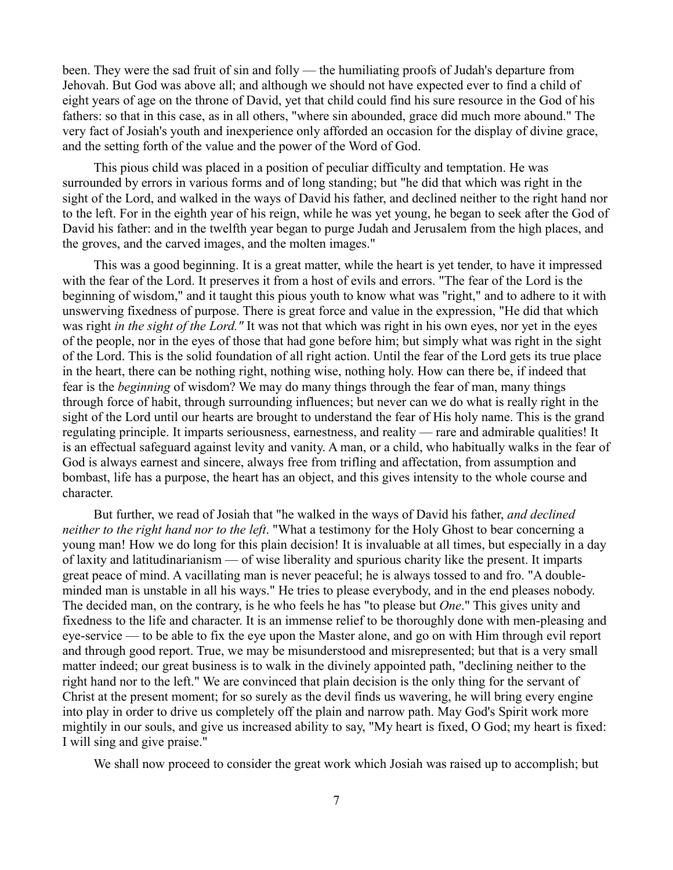been. They were the sad fruit of sin and folly — the humiliating proofs of Judah's departure from Jehovah. But God was above all; and although we should not have expected ever to find a child of eight years of age on the throne of David, yet that child could find his sure resource in the God of his fathers: so that in this case, as in all others, "where sin abounded, grace did much more abound." The very fact of Josiah's youth and inexperience only afforded an occasion for the display of divine grace, and the setting forth of the value and the power of the Word of God.

This pious child was placed in a position of peculiar difficulty and temptation. He was surrounded by errors in various forms and of long standing; but "he did that which was right in the sight of the Lord, and walked in the ways of David his father, and declined neither to the right hand nor to the left. For in the eighth year of his reign, while he was yet young, he began to seek after the God of David his father: and in the twelfth year began to purge Judah and Jerusalem from the high places, and the groves, and the carved images, and the molten images."

This was a good beginning. It is a great matter, while the heart is yet tender, to have it impressed with the fear of the Lord. It preserves it from a host of evils and errors. "The fear of the Lord is the beginning of wisdom," and it taught this pious youth to know what was "right," and to adhere to it with unswerving fixedness of purpose. There is great force and value in the expression, "He did that which was right *in the sight of the Lord."* It was not that which was right in his own eyes, nor yet in the eyes of the people, nor in the eyes of those that had gone before him; but simply what was right in the sight of the Lord. This is the solid foundation of all right action. Until the fear of the Lord gets its true place in the heart, there can be nothing right, nothing wise, nothing holy. How can there be, if indeed that fear is the *beginning* of wisdom? We may do many things through the fear of man, many things through force of habit, through surrounding influences; but never can we do what is really right in the sight of the Lord until our hearts are brought to understand the fear of His holy name. This is the grand regulating principle. It imparts seriousness, earnestness, and reality — rare and admirable qualities! It is an effectual safeguard against levity and vanity. A man, or a child, who habitually walks in the fear of God is always earnest and sincere, always free from trifling and affectation, from assumption and bombast, life has a purpose, the heart has an object, and this gives intensity to the whole course and character.

But further, we read of Josiah that "he walked in the ways of David his father, *and declined neither to the right hand nor to the left*. "What a testimony for the Holy Ghost to bear concerning a young man! How we do long for this plain decision! It is invaluable at all times, but especially in a day of laxity and latitudinarianism — of wise liberality and spurious charity like the present. It imparts great peace of mind. A vacillating man is never peaceful; he is always tossed to and fro. "A doubleminded man is unstable in all his ways." He tries to please everybody, and in the end pleases nobody. The decided man, on the contrary, is he who feels he has "to please but *One*." This gives unity and fixedness to the life and character. It is an immense relief to be thoroughly done with men-pleasing and eye-service — to be able to fix the eye upon the Master alone, and go on with Him through evil report and through good report. True, we may be misunderstood and misrepresented; but that is a very small matter indeed; our great business is to walk in the divinely appointed path, "declining neither to the right hand nor to the left." We are convinced that plain decision is the only thing for the servant of Christ at the present moment; for so surely as the devil finds us wavering, he will bring every engine into play in order to drive us completely off the plain and narrow path. May God's Spirit work more mightily in our souls, and give us increased ability to say, "My heart is fixed, O God; my heart is fixed: I will sing and give praise."

We shall now proceed to consider the great work which Josiah was raised up to accomplish; but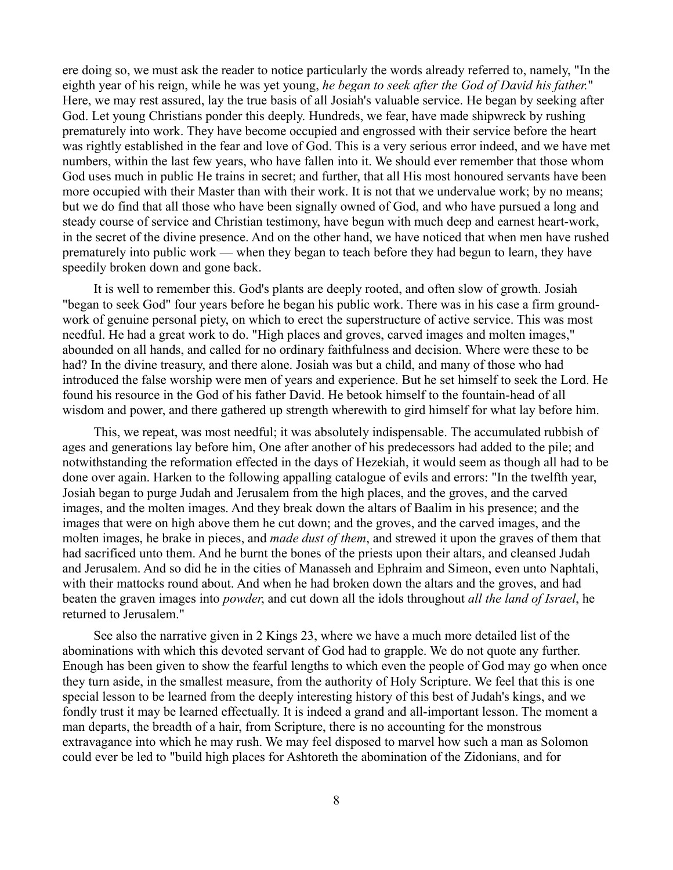ere doing so, we must ask the reader to notice particularly the words already referred to, namely, "In the eighth year of his reign, while he was yet young, *he began to seek after the God of David his father.*" Here, we may rest assured, lay the true basis of all Josiah's valuable service. He began by seeking after God. Let young Christians ponder this deeply. Hundreds, we fear, have made shipwreck by rushing prematurely into work. They have become occupied and engrossed with their service before the heart was rightly established in the fear and love of God. This is a very serious error indeed, and we have met numbers, within the last few years, who have fallen into it. We should ever remember that those whom God uses much in public He trains in secret; and further, that all His most honoured servants have been more occupied with their Master than with their work. It is not that we undervalue work; by no means; but we do find that all those who have been signally owned of God, and who have pursued a long and steady course of service and Christian testimony, have begun with much deep and earnest heart-work, in the secret of the divine presence. And on the other hand, we have noticed that when men have rushed prematurely into public work — when they began to teach before they had begun to learn, they have speedily broken down and gone back.

It is well to remember this. God's plants are deeply rooted, and often slow of growth. Josiah "began to seek God" four years before he began his public work. There was in his case a firm groundwork of genuine personal piety, on which to erect the superstructure of active service. This was most needful. He had a great work to do. "High places and groves, carved images and molten images," abounded on all hands, and called for no ordinary faithfulness and decision. Where were these to be had? In the divine treasury, and there alone. Josiah was but a child, and many of those who had introduced the false worship were men of years and experience. But he set himself to seek the Lord. He found his resource in the God of his father David. He betook himself to the fountain-head of all wisdom and power, and there gathered up strength wherewith to gird himself for what lay before him.

This, we repeat, was most needful; it was absolutely indispensable. The accumulated rubbish of ages and generations lay before him, One after another of his predecessors had added to the pile; and notwithstanding the reformation effected in the days of Hezekiah, it would seem as though all had to be done over again. Harken to the following appalling catalogue of evils and errors: "In the twelfth year, Josiah began to purge Judah and Jerusalem from the high places, and the groves, and the carved images, and the molten images. And they break down the altars of Baalim in his presence; and the images that were on high above them he cut down; and the groves, and the carved images, and the molten images, he brake in pieces, and *made dust of them*, and strewed it upon the graves of them that had sacrificed unto them. And he burnt the bones of the priests upon their altars, and cleansed Judah and Jerusalem. And so did he in the cities of Manasseh and Ephraim and Simeon, even unto Naphtali, with their mattocks round about. And when he had broken down the altars and the groves, and had beaten the graven images into *powder*, and cut down all the idols throughout *all the land of Israel*, he returned to Jerusalem."

See also the narrative given in 2 Kings 23, where we have a much more detailed list of the abominations with which this devoted servant of God had to grapple. We do not quote any further. Enough has been given to show the fearful lengths to which even the people of God may go when once they turn aside, in the smallest measure, from the authority of Holy Scripture. We feel that this is one special lesson to be learned from the deeply interesting history of this best of Judah's kings, and we fondly trust it may be learned effectually. It is indeed a grand and all-important lesson. The moment a man departs, the breadth of a hair, from Scripture, there is no accounting for the monstrous extravagance into which he may rush. We may feel disposed to marvel how such a man as Solomon could ever be led to "build high places for Ashtoreth the abomination of the Zidonians, and for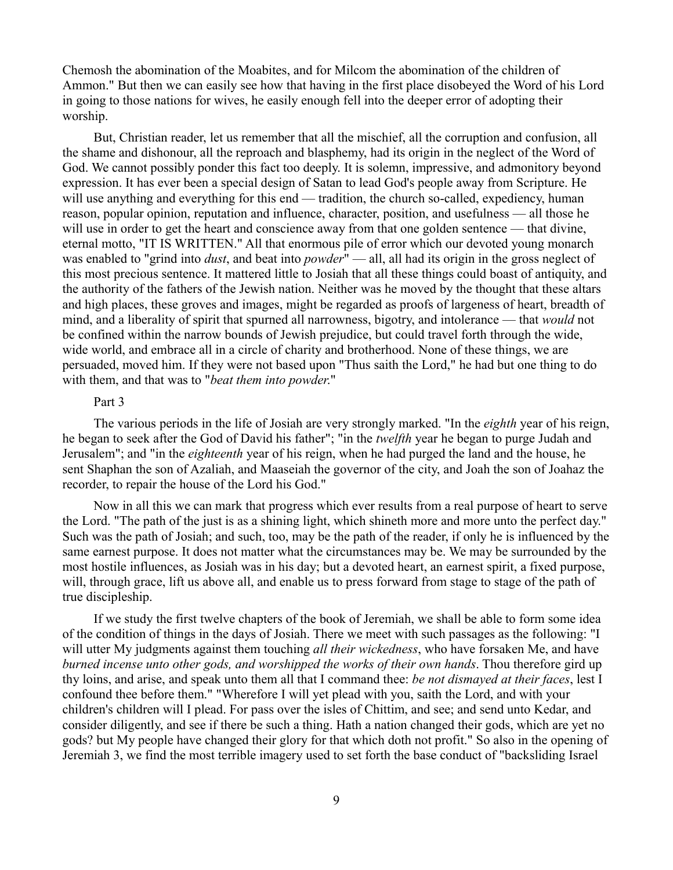Chemosh the abomination of the Moabites, and for Milcom the abomination of the children of Ammon." But then we can easily see how that having in the first place disobeyed the Word of his Lord in going to those nations for wives, he easily enough fell into the deeper error of adopting their worship.

But, Christian reader, let us remember that all the mischief, all the corruption and confusion, all the shame and dishonour, all the reproach and blasphemy, had its origin in the neglect of the Word of God. We cannot possibly ponder this fact too deeply. It is solemn, impressive, and admonitory beyond expression. It has ever been a special design of Satan to lead God's people away from Scripture. He will use anything and everything for this end — tradition, the church so-called, expediency, human reason, popular opinion, reputation and influence, character, position, and usefulness — all those he will use in order to get the heart and conscience away from that one golden sentence — that divine, eternal motto, "IT IS WRITTEN." All that enormous pile of error which our devoted young monarch was enabled to "grind into *dust*, and beat into *powder*" — all, all had its origin in the gross neglect of this most precious sentence. It mattered little to Josiah that all these things could boast of antiquity, and the authority of the fathers of the Jewish nation. Neither was he moved by the thought that these altars and high places, these groves and images, might be regarded as proofs of largeness of heart, breadth of mind, and a liberality of spirit that spurned all narrowness, bigotry, and intolerance — that *would* not be confined within the narrow bounds of Jewish prejudice, but could travel forth through the wide, wide world, and embrace all in a circle of charity and brotherhood. None of these things, we are persuaded, moved him. If they were not based upon "Thus saith the Lord," he had but one thing to do with them, and that was to "*beat them into powder*."

## Part 3

The various periods in the life of Josiah are very strongly marked. "In the *eighth* year of his reign, he began to seek after the God of David his father"; "in the *twelfth* year he began to purge Judah and Jerusalem"; and "in the *eighteenth* year of his reign, when he had purged the land and the house, he sent Shaphan the son of Azaliah, and Maaseiah the governor of the city, and Joah the son of Joahaz the recorder, to repair the house of the Lord his God."

Now in all this we can mark that progress which ever results from a real purpose of heart to serve the Lord. "The path of the just is as a shining light, which shineth more and more unto the perfect day." Such was the path of Josiah; and such, too, may be the path of the reader, if only he is influenced by the same earnest purpose. It does not matter what the circumstances may be. We may be surrounded by the most hostile influences, as Josiah was in his day; but a devoted heart, an earnest spirit, a fixed purpose, will, through grace, lift us above all, and enable us to press forward from stage to stage of the path of true discipleship.

If we study the first twelve chapters of the book of Jeremiah, we shall be able to form some idea of the condition of things in the days of Josiah. There we meet with such passages as the following: "I will utter My judgments against them touching *all their wickedness*, who have forsaken Me, and have *burned incense unto other gods, and worshipped the works of their own hands*. Thou therefore gird up thy loins, and arise, and speak unto them all that I command thee: *be not dismayed at their faces*, lest I confound thee before them." "Wherefore I will yet plead with you, saith the Lord, and with your children's children will I plead. For pass over the isles of Chittim, and see; and send unto Kedar, and consider diligently, and see if there be such a thing. Hath a nation changed their gods, which are yet no gods? but My people have changed their glory for that which doth not profit." So also in the opening of Jeremiah 3, we find the most terrible imagery used to set forth the base conduct of "backsliding Israel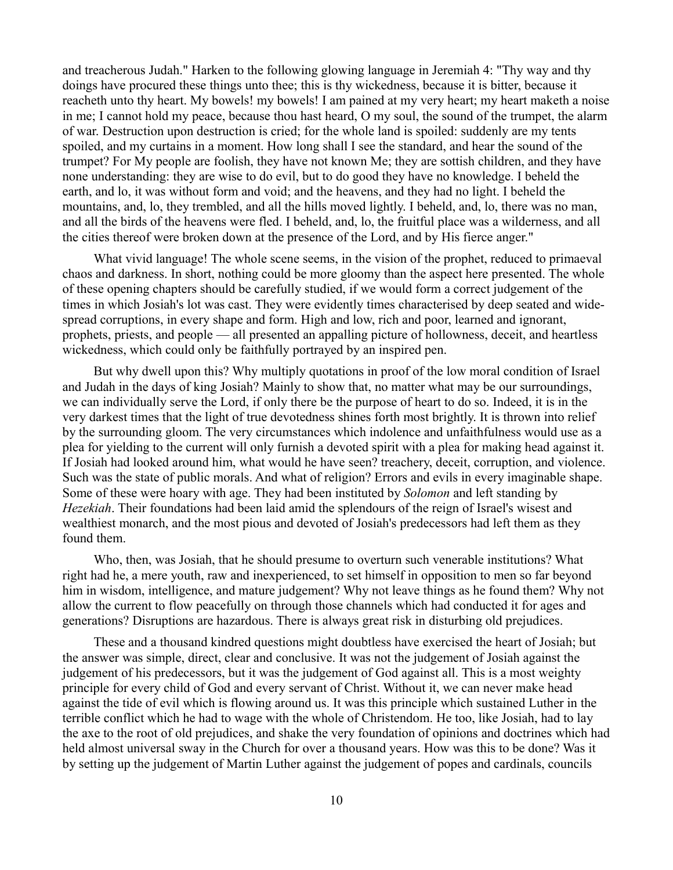and treacherous Judah." Harken to the following glowing language in Jeremiah 4: "Thy way and thy doings have procured these things unto thee; this is thy wickedness, because it is bitter, because it reacheth unto thy heart. My bowels! my bowels! I am pained at my very heart; my heart maketh a noise in me; I cannot hold my peace, because thou hast heard, O my soul, the sound of the trumpet, the alarm of war. Destruction upon destruction is cried; for the whole land is spoiled: suddenly are my tents spoiled, and my curtains in a moment. How long shall I see the standard, and hear the sound of the trumpet? For My people are foolish, they have not known Me; they are sottish children, and they have none understanding: they are wise to do evil, but to do good they have no knowledge. I beheld the earth, and lo, it was without form and void; and the heavens, and they had no light. I beheld the mountains, and, lo, they trembled, and all the hills moved lightly. I beheld, and, lo, there was no man, and all the birds of the heavens were fled. I beheld, and, lo, the fruitful place was a wilderness, and all the cities thereof were broken down at the presence of the Lord, and by His fierce anger."

What vivid language! The whole scene seems, in the vision of the prophet, reduced to primaeval chaos and darkness. In short, nothing could be more gloomy than the aspect here presented. The whole of these opening chapters should be carefully studied, if we would form a correct judgement of the times in which Josiah's lot was cast. They were evidently times characterised by deep seated and widespread corruptions, in every shape and form. High and low, rich and poor, learned and ignorant, prophets, priests, and people — all presented an appalling picture of hollowness, deceit, and heartless wickedness, which could only be faithfully portrayed by an inspired pen.

But why dwell upon this? Why multiply quotations in proof of the low moral condition of Israel and Judah in the days of king Josiah? Mainly to show that, no matter what may be our surroundings, we can individually serve the Lord, if only there be the purpose of heart to do so. Indeed, it is in the very darkest times that the light of true devotedness shines forth most brightly. It is thrown into relief by the surrounding gloom. The very circumstances which indolence and unfaithfulness would use as a plea for yielding to the current will only furnish a devoted spirit with a plea for making head against it. If Josiah had looked around him, what would he have seen? treachery, deceit, corruption, and violence. Such was the state of public morals. And what of religion? Errors and evils in every imaginable shape. Some of these were hoary with age. They had been instituted by *Solomon* and left standing by *Hezekiah*. Their foundations had been laid amid the splendours of the reign of Israel's wisest and wealthiest monarch, and the most pious and devoted of Josiah's predecessors had left them as they found them.

Who, then, was Josiah, that he should presume to overturn such venerable institutions? What right had he, a mere youth, raw and inexperienced, to set himself in opposition to men so far beyond him in wisdom, intelligence, and mature judgement? Why not leave things as he found them? Why not allow the current to flow peacefully on through those channels which had conducted it for ages and generations? Disruptions are hazardous. There is always great risk in disturbing old prejudices.

These and a thousand kindred questions might doubtless have exercised the heart of Josiah; but the answer was simple, direct, clear and conclusive. It was not the judgement of Josiah against the judgement of his predecessors, but it was the judgement of God against all. This is a most weighty principle for every child of God and every servant of Christ. Without it, we can never make head against the tide of evil which is flowing around us. It was this principle which sustained Luther in the terrible conflict which he had to wage with the whole of Christendom. He too, like Josiah, had to lay the axe to the root of old prejudices, and shake the very foundation of opinions and doctrines which had held almost universal sway in the Church for over a thousand years. How was this to be done? Was it by setting up the judgement of Martin Luther against the judgement of popes and cardinals, councils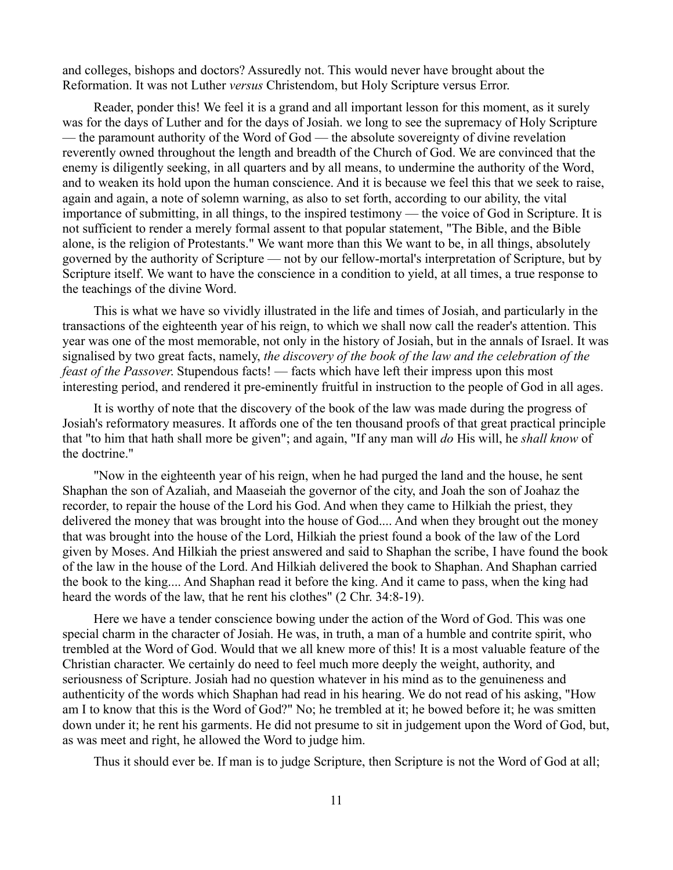and colleges, bishops and doctors? Assuredly not. This would never have brought about the Reformation. It was not Luther *versus* Christendom, but Holy Scripture versus Error.

Reader, ponder this! We feel it is a grand and all important lesson for this moment, as it surely was for the days of Luther and for the days of Josiah. we long to see the supremacy of Holy Scripture — the paramount authority of the Word of God — the absolute sovereignty of divine revelation reverently owned throughout the length and breadth of the Church of God. We are convinced that the enemy is diligently seeking, in all quarters and by all means, to undermine the authority of the Word, and to weaken its hold upon the human conscience. And it is because we feel this that we seek to raise, again and again, a note of solemn warning, as also to set forth, according to our ability, the vital importance of submitting, in all things, to the inspired testimony — the voice of God in Scripture. It is not sufficient to render a merely formal assent to that popular statement, "The Bible, and the Bible alone, is the religion of Protestants." We want more than this We want to be, in all things, absolutely governed by the authority of Scripture — not by our fellow-mortal's interpretation of Scripture, but by Scripture itself. We want to have the conscience in a condition to yield, at all times, a true response to the teachings of the divine Word.

This is what we have so vividly illustrated in the life and times of Josiah, and particularly in the transactions of the eighteenth year of his reign, to which we shall now call the reader's attention. This year was one of the most memorable, not only in the history of Josiah, but in the annals of Israel. It was signalised by two great facts, namely, *the discovery of the book of the law and the celebration of the feast of the Passover*. Stupendous facts! — facts which have left their impress upon this most interesting period, and rendered it pre-eminently fruitful in instruction to the people of God in all ages.

It is worthy of note that the discovery of the book of the law was made during the progress of Josiah's reformatory measures. It affords one of the ten thousand proofs of that great practical principle that "to him that hath shall more be given"; and again, "If any man will *do* His will, he *shall know* of the doctrine."

"Now in the eighteenth year of his reign, when he had purged the land and the house, he sent Shaphan the son of Azaliah, and Maaseiah the governor of the city, and Joah the son of Joahaz the recorder, to repair the house of the Lord his God. And when they came to Hilkiah the priest, they delivered the money that was brought into the house of God.... And when they brought out the money that was brought into the house of the Lord, Hilkiah the priest found a book of the law of the Lord given by Moses. And Hilkiah the priest answered and said to Shaphan the scribe, I have found the book of the law in the house of the Lord. And Hilkiah delivered the book to Shaphan. And Shaphan carried the book to the king.... And Shaphan read it before the king. And it came to pass, when the king had heard the words of the law, that he rent his clothes" (2 Chr. 34:8-19).

Here we have a tender conscience bowing under the action of the Word of God. This was one special charm in the character of Josiah. He was, in truth, a man of a humble and contrite spirit, who trembled at the Word of God. Would that we all knew more of this! It is a most valuable feature of the Christian character. We certainly do need to feel much more deeply the weight, authority, and seriousness of Scripture. Josiah had no question whatever in his mind as to the genuineness and authenticity of the words which Shaphan had read in his hearing. We do not read of his asking, "How am I to know that this is the Word of God?" No; he trembled at it; he bowed before it; he was smitten down under it; he rent his garments. He did not presume to sit in judgement upon the Word of God, but, as was meet and right, he allowed the Word to judge him.

Thus it should ever be. If man is to judge Scripture, then Scripture is not the Word of God at all;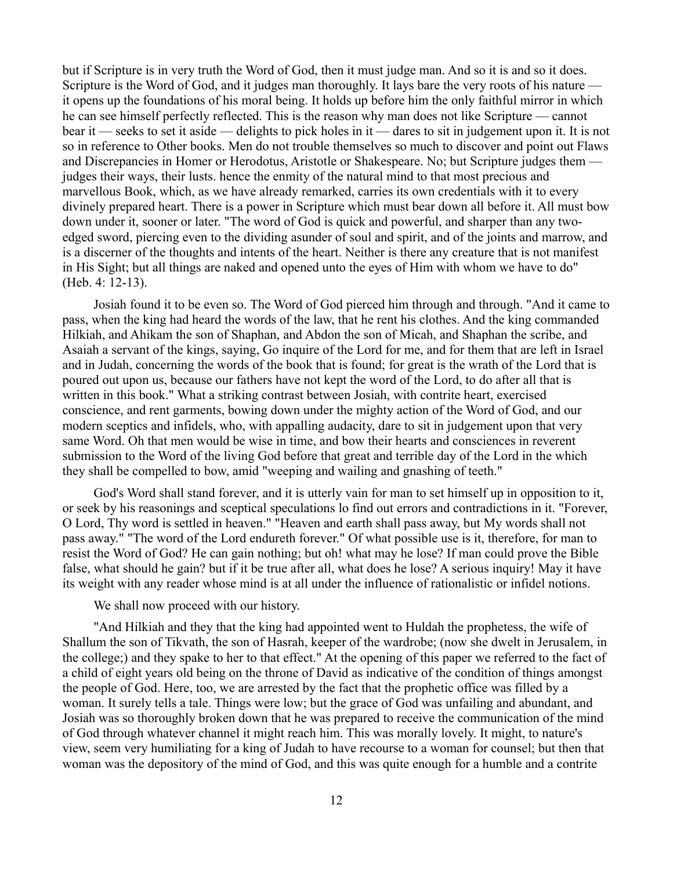but if Scripture is in very truth the Word of God, then it must judge man. And so it is and so it does. Scripture is the Word of God, and it judges man thoroughly. It lays bare the very roots of his nature it opens up the foundations of his moral being. It holds up before him the only faithful mirror in which he can see himself perfectly reflected. This is the reason why man does not like Scripture — cannot bear it — seeks to set it aside — delights to pick holes in it — dares to sit in judgement upon it. It is not so in reference to Other books. Men do not trouble themselves so much to discover and point out Flaws and Discrepancies in Homer or Herodotus, Aristotle or Shakespeare. No; but Scripture judges them judges their ways, their lusts. hence the enmity of the natural mind to that most precious and marvellous Book, which, as we have already remarked, carries its own credentials with it to every divinely prepared heart. There is a power in Scripture which must bear down all before it. All must bow down under it, sooner or later. "The word of God is quick and powerful, and sharper than any twoedged sword, piercing even to the dividing asunder of soul and spirit, and of the joints and marrow, and is a discerner of the thoughts and intents of the heart. Neither is there any creature that is not manifest in His Sight; but all things are naked and opened unto the eyes of Him with whom we have to do" (Heb. 4: 12-13).

Josiah found it to be even so. The Word of God pierced him through and through. "And it came to pass, when the king had heard the words of the law, that he rent his clothes. And the king commanded Hilkiah, and Ahikam the son of Shaphan, and Abdon the son of Micah, and Shaphan the scribe, and Asaiah a servant of the kings, saying, Go inquire of the Lord for me, and for them that are left in Israel and in Judah, concerning the words of the book that is found; for great is the wrath of the Lord that is poured out upon us, because our fathers have not kept the word of the Lord, to do after all that is written in this book." What a striking contrast between Josiah, with contrite heart, exercised conscience, and rent garments, bowing down under the mighty action of the Word of God, and our modern sceptics and infidels, who, with appalling audacity, dare to sit in judgement upon that very same Word. Oh that men would be wise in time, and bow their hearts and consciences in reverent submission to the Word of the living God before that great and terrible day of the Lord in the which they shall be compelled to bow, amid "weeping and wailing and gnashing of teeth."

God's Word shall stand forever, and it is utterly vain for man to set himself up in opposition to it, or seek by his reasonings and sceptical speculations lo find out errors and contradictions in it. "Forever, O Lord, Thy word is settled in heaven." "Heaven and earth shall pass away, but My words shall not pass away." "The word of the Lord endureth forever." Of what possible use is it, therefore, for man to resist the Word of God? He can gain nothing; but oh! what may he lose? If man could prove the Bible false, what should he gain? but if it be true after all, what does he lose? A serious inquiry! May it have its weight with any reader whose mind is at all under the influence of rationalistic or infidel notions.

We shall now proceed with our history.

"And Hilkiah and they that the king had appointed went to Huldah the prophetess, the wife of Shallum the son of Tikvath, the son of Hasrah, keeper of the wardrobe; (now she dwelt in Jerusalem, in the college;) and they spake to her to that effect." At the opening of this paper we referred to the fact of a child of eight years old being on the throne of David as indicative of the condition of things amongst the people of God. Here, too, we are arrested by the fact that the prophetic office was filled by a woman. It surely tells a tale. Things were low; but the grace of God was unfailing and abundant, and Josiah was so thoroughly broken down that he was prepared to receive the communication of the mind of God through whatever channel it might reach him. This was morally lovely. It might, to nature's view, seem very humiliating for a king of Judah to have recourse to a woman for counsel; but then that woman was the depository of the mind of God, and this was quite enough for a humble and a contrite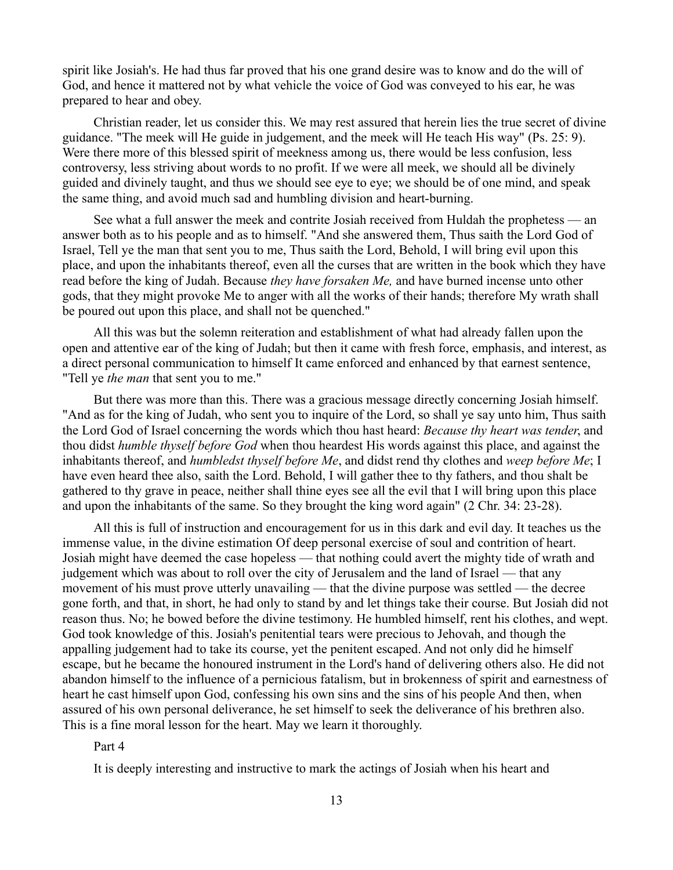spirit like Josiah's. He had thus far proved that his one grand desire was to know and do the will of God, and hence it mattered not by what vehicle the voice of God was conveyed to his ear, he was prepared to hear and obey.

Christian reader, let us consider this. We may rest assured that herein lies the true secret of divine guidance. "The meek will He guide in judgement, and the meek will He teach His way" (Ps. 25: 9). Were there more of this blessed spirit of meekness among us, there would be less confusion, less controversy, less striving about words to no profit. If we were all meek, we should all be divinely guided and divinely taught, and thus we should see eye to eye; we should be of one mind, and speak the same thing, and avoid much sad and humbling division and heart-burning.

See what a full answer the meek and contrite Josiah received from Huldah the prophetess — an answer both as to his people and as to himself. "And she answered them, Thus saith the Lord God of Israel, Tell ye the man that sent you to me, Thus saith the Lord, Behold, I will bring evil upon this place, and upon the inhabitants thereof, even all the curses that are written in the book which they have read before the king of Judah. Because *they have forsaken Me,* and have burned incense unto other gods, that they might provoke Me to anger with all the works of their hands; therefore My wrath shall be poured out upon this place, and shall not be quenched."

All this was but the solemn reiteration and establishment of what had already fallen upon the open and attentive ear of the king of Judah; but then it came with fresh force, emphasis, and interest, as a direct personal communication to himself It came enforced and enhanced by that earnest sentence, "Tell ye *the man* that sent you to me."

But there was more than this. There was a gracious message directly concerning Josiah himself. "And as for the king of Judah, who sent you to inquire of the Lord, so shall ye say unto him, Thus saith the Lord God of Israel concerning the words which thou hast heard: *Because thy heart was tender*, and thou didst *humble thyself before God* when thou heardest His words against this place, and against the inhabitants thereof, and *humbledst thyself before Me*, and didst rend thy clothes and *weep before Me*; I have even heard thee also, saith the Lord. Behold, I will gather thee to thy fathers, and thou shalt be gathered to thy grave in peace, neither shall thine eyes see all the evil that I will bring upon this place and upon the inhabitants of the same. So they brought the king word again" (2 Chr. 34: 23-28).

All this is full of instruction and encouragement for us in this dark and evil day. It teaches us the immense value, in the divine estimation Of deep personal exercise of soul and contrition of heart. Josiah might have deemed the case hopeless — that nothing could avert the mighty tide of wrath and judgement which was about to roll over the city of Jerusalem and the land of Israel — that any movement of his must prove utterly unavailing — that the divine purpose was settled — the decree gone forth, and that, in short, he had only to stand by and let things take their course. But Josiah did not reason thus. No; he bowed before the divine testimony. He humbled himself, rent his clothes, and wept. God took knowledge of this. Josiah's penitential tears were precious to Jehovah, and though the appalling judgement had to take its course, yet the penitent escaped. And not only did he himself escape, but he became the honoured instrument in the Lord's hand of delivering others also. He did not abandon himself to the influence of a pernicious fatalism, but in brokenness of spirit and earnestness of heart he cast himself upon God, confessing his own sins and the sins of his people And then, when assured of his own personal deliverance, he set himself to seek the deliverance of his brethren also. This is a fine moral lesson for the heart. May we learn it thoroughly.

Part 4

It is deeply interesting and instructive to mark the actings of Josiah when his heart and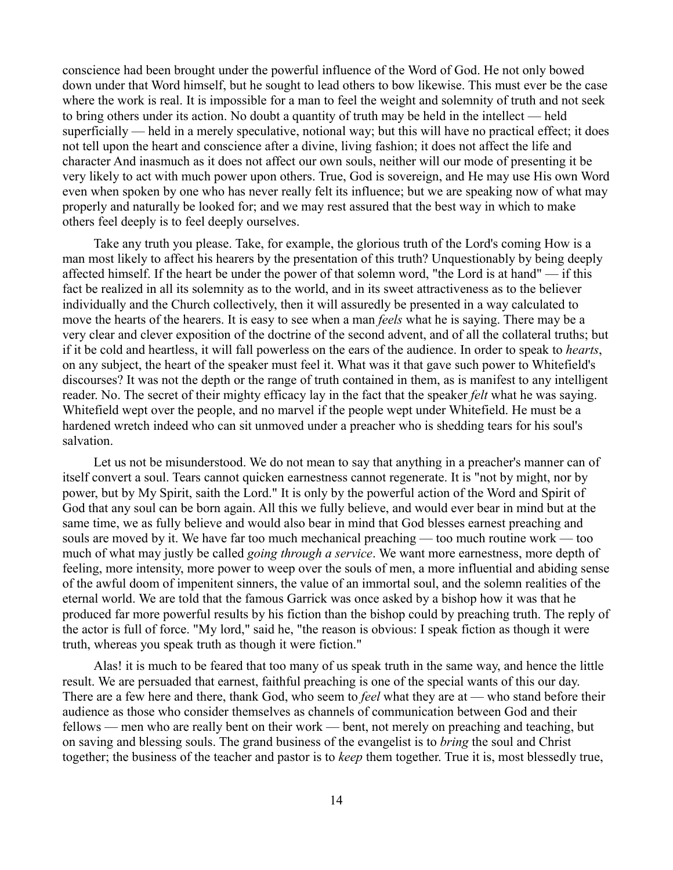conscience had been brought under the powerful influence of the Word of God. He not only bowed down under that Word himself, but he sought to lead others to bow likewise. This must ever be the case where the work is real. It is impossible for a man to feel the weight and solemnity of truth and not seek to bring others under its action. No doubt a quantity of truth may be held in the intellect — held superficially — held in a merely speculative, notional way; but this will have no practical effect; it does not tell upon the heart and conscience after a divine, living fashion; it does not affect the life and character And inasmuch as it does not affect our own souls, neither will our mode of presenting it be very likely to act with much power upon others. True, God is sovereign, and He may use His own Word even when spoken by one who has never really felt its influence; but we are speaking now of what may properly and naturally be looked for; and we may rest assured that the best way in which to make others feel deeply is to feel deeply ourselves.

Take any truth you please. Take, for example, the glorious truth of the Lord's coming How is a man most likely to affect his hearers by the presentation of this truth? Unquestionably by being deeply affected himself. If the heart be under the power of that solemn word, "the Lord is at hand" — if this fact be realized in all its solemnity as to the world, and in its sweet attractiveness as to the believer individually and the Church collectively, then it will assuredly be presented in a way calculated to move the hearts of the hearers. It is easy to see when a man *feels* what he is saying. There may be a very clear and clever exposition of the doctrine of the second advent, and of all the collateral truths; but if it be cold and heartless, it will fall powerless on the ears of the audience. In order to speak to *hearts*, on any subject, the heart of the speaker must feel it. What was it that gave such power to Whitefield's discourses? It was not the depth or the range of truth contained in them, as is manifest to any intelligent reader. No. The secret of their mighty efficacy lay in the fact that the speaker *felt* what he was saying. Whitefield wept over the people, and no marvel if the people wept under Whitefield. He must be a hardened wretch indeed who can sit unmoved under a preacher who is shedding tears for his soul's salvation.

Let us not be misunderstood. We do not mean to say that anything in a preacher's manner can of itself convert a soul. Tears cannot quicken earnestness cannot regenerate. It is "not by might, nor by power, but by My Spirit, saith the Lord." It is only by the powerful action of the Word and Spirit of God that any soul can be born again. All this we fully believe, and would ever bear in mind but at the same time, we as fully believe and would also bear in mind that God blesses earnest preaching and souls are moved by it. We have far too much mechanical preaching — too much routine work — too much of what may justly be called *going through a service*. We want more earnestness, more depth of feeling, more intensity, more power to weep over the souls of men, a more influential and abiding sense of the awful doom of impenitent sinners, the value of an immortal soul, and the solemn realities of the eternal world. We are told that the famous Garrick was once asked by a bishop how it was that he produced far more powerful results by his fiction than the bishop could by preaching truth. The reply of the actor is full of force. "My lord," said he, "the reason is obvious: I speak fiction as though it were truth, whereas you speak truth as though it were fiction."

Alas! it is much to be feared that too many of us speak truth in the same way, and hence the little result. We are persuaded that earnest, faithful preaching is one of the special wants of this our day. There are a few here and there, thank God, who seem to *feel* what they are at — who stand before their audience as those who consider themselves as channels of communication between God and their fellows — men who are really bent on their work — bent, not merely on preaching and teaching, but on saving and blessing souls. The grand business of the evangelist is to *bring* the soul and Christ together; the business of the teacher and pastor is to *keep* them together. True it is, most blessedly true,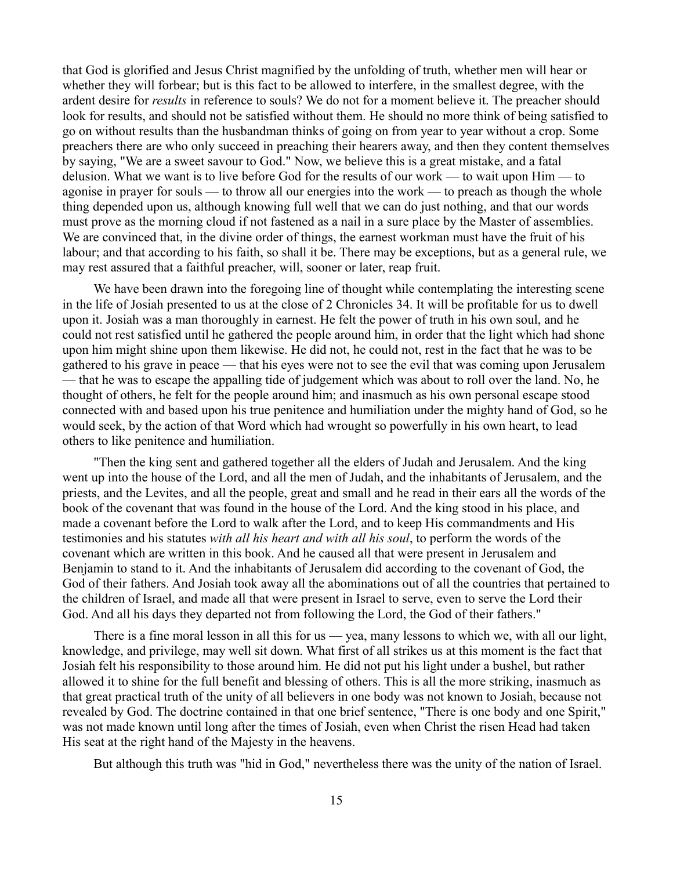that God is glorified and Jesus Christ magnified by the unfolding of truth, whether men will hear or whether they will forbear; but is this fact to be allowed to interfere, in the smallest degree, with the ardent desire for *results* in reference to souls? We do not for a moment believe it. The preacher should look for results, and should not be satisfied without them. He should no more think of being satisfied to go on without results than the husbandman thinks of going on from year to year without a crop. Some preachers there are who only succeed in preaching their hearers away, and then they content themselves by saying, "We are a sweet savour to God." Now, we believe this is a great mistake, and a fatal delusion. What we want is to live before God for the results of our work — to wait upon Him — to agonise in prayer for souls — to throw all our energies into the work — to preach as though the whole thing depended upon us, although knowing full well that we can do just nothing, and that our words must prove as the morning cloud if not fastened as a nail in a sure place by the Master of assemblies. We are convinced that, in the divine order of things, the earnest workman must have the fruit of his labour; and that according to his faith, so shall it be. There may be exceptions, but as a general rule, we may rest assured that a faithful preacher, will, sooner or later, reap fruit.

We have been drawn into the foregoing line of thought while contemplating the interesting scene in the life of Josiah presented to us at the close of 2 Chronicles 34. It will be profitable for us to dwell upon it. Josiah was a man thoroughly in earnest. He felt the power of truth in his own soul, and he could not rest satisfied until he gathered the people around him, in order that the light which had shone upon him might shine upon them likewise. He did not, he could not, rest in the fact that he was to be gathered to his grave in peace — that his eyes were not to see the evil that was coming upon Jerusalem — that he was to escape the appalling tide of judgement which was about to roll over the land. No, he thought of others, he felt for the people around him; and inasmuch as his own personal escape stood connected with and based upon his true penitence and humiliation under the mighty hand of God, so he would seek, by the action of that Word which had wrought so powerfully in his own heart, to lead others to like penitence and humiliation.

"Then the king sent and gathered together all the elders of Judah and Jerusalem. And the king went up into the house of the Lord, and all the men of Judah, and the inhabitants of Jerusalem, and the priests, and the Levites, and all the people, great and small and he read in their ears all the words of the book of the covenant that was found in the house of the Lord. And the king stood in his place, and made a covenant before the Lord to walk after the Lord, and to keep His commandments and His testimonies and his statutes *with all his heart and with all his soul*, to perform the words of the covenant which are written in this book. And he caused all that were present in Jerusalem and Benjamin to stand to it. And the inhabitants of Jerusalem did according to the covenant of God, the God of their fathers. And Josiah took away all the abominations out of all the countries that pertained to the children of Israel, and made all that were present in Israel to serve, even to serve the Lord their God. And all his days they departed not from following the Lord, the God of their fathers."

There is a fine moral lesson in all this for us — yea, many lessons to which we, with all our light, knowledge, and privilege, may well sit down. What first of all strikes us at this moment is the fact that Josiah felt his responsibility to those around him. He did not put his light under a bushel, but rather allowed it to shine for the full benefit and blessing of others. This is all the more striking, inasmuch as that great practical truth of the unity of all believers in one body was not known to Josiah, because not revealed by God. The doctrine contained in that one brief sentence, "There is one body and one Spirit," was not made known until long after the times of Josiah, even when Christ the risen Head had taken His seat at the right hand of the Majesty in the heavens.

But although this truth was "hid in God," nevertheless there was the unity of the nation of Israel.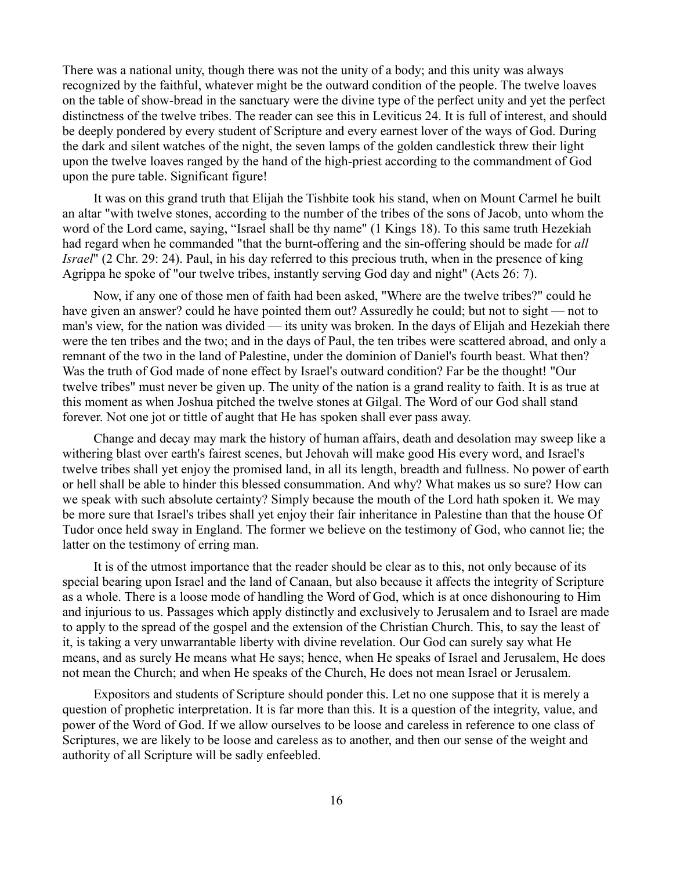There was a national unity, though there was not the unity of a body; and this unity was always recognized by the faithful, whatever might be the outward condition of the people. The twelve loaves on the table of show-bread in the sanctuary were the divine type of the perfect unity and yet the perfect distinctness of the twelve tribes. The reader can see this in Leviticus 24. It is full of interest, and should be deeply pondered by every student of Scripture and every earnest lover of the ways of God. During the dark and silent watches of the night, the seven lamps of the golden candlestick threw their light upon the twelve loaves ranged by the hand of the high-priest according to the commandment of God upon the pure table. Significant figure!

It was on this grand truth that Elijah the Tishbite took his stand, when on Mount Carmel he built an altar "with twelve stones, according to the number of the tribes of the sons of Jacob, unto whom the word of the Lord came, saying, "Israel shall be thy name" (1 Kings 18). To this same truth Hezekiah had regard when he commanded "that the burnt-offering and the sin-offering should be made for *all Israel*" (2 Chr. 29: 24). Paul, in his day referred to this precious truth, when in the presence of king Agrippa he spoke of "our twelve tribes, instantly serving God day and night" (Acts 26: 7).

Now, if any one of those men of faith had been asked, "Where are the twelve tribes?" could he have given an answer? could he have pointed them out? Assuredly he could; but not to sight — not to man's view, for the nation was divided — its unity was broken. In the days of Elijah and Hezekiah there were the ten tribes and the two; and in the days of Paul, the ten tribes were scattered abroad, and only a remnant of the two in the land of Palestine, under the dominion of Daniel's fourth beast. What then? Was the truth of God made of none effect by Israel's outward condition? Far be the thought! "Our twelve tribes" must never be given up. The unity of the nation is a grand reality to faith. It is as true at this moment as when Joshua pitched the twelve stones at Gilgal. The Word of our God shall stand forever. Not one jot or tittle of aught that He has spoken shall ever pass away.

Change and decay may mark the history of human affairs, death and desolation may sweep like a withering blast over earth's fairest scenes, but Jehovah will make good His every word, and Israel's twelve tribes shall yet enjoy the promised land, in all its length, breadth and fullness. No power of earth or hell shall be able to hinder this blessed consummation. And why? What makes us so sure? How can we speak with such absolute certainty? Simply because the mouth of the Lord hath spoken it. We may be more sure that Israel's tribes shall yet enjoy their fair inheritance in Palestine than that the house Of Tudor once held sway in England. The former we believe on the testimony of God, who cannot lie; the latter on the testimony of erring man.

It is of the utmost importance that the reader should be clear as to this, not only because of its special bearing upon Israel and the land of Canaan, but also because it affects the integrity of Scripture as a whole. There is a loose mode of handling the Word of God, which is at once dishonouring to Him and injurious to us. Passages which apply distinctly and exclusively to Jerusalem and to Israel are made to apply to the spread of the gospel and the extension of the Christian Church. This, to say the least of it, is taking a very unwarrantable liberty with divine revelation. Our God can surely say what He means, and as surely He means what He says; hence, when He speaks of Israel and Jerusalem, He does not mean the Church; and when He speaks of the Church, He does not mean Israel or Jerusalem.

Expositors and students of Scripture should ponder this. Let no one suppose that it is merely a question of prophetic interpretation. It is far more than this. It is a question of the integrity, value, and power of the Word of God. If we allow ourselves to be loose and careless in reference to one class of Scriptures, we are likely to be loose and careless as to another, and then our sense of the weight and authority of all Scripture will be sadly enfeebled.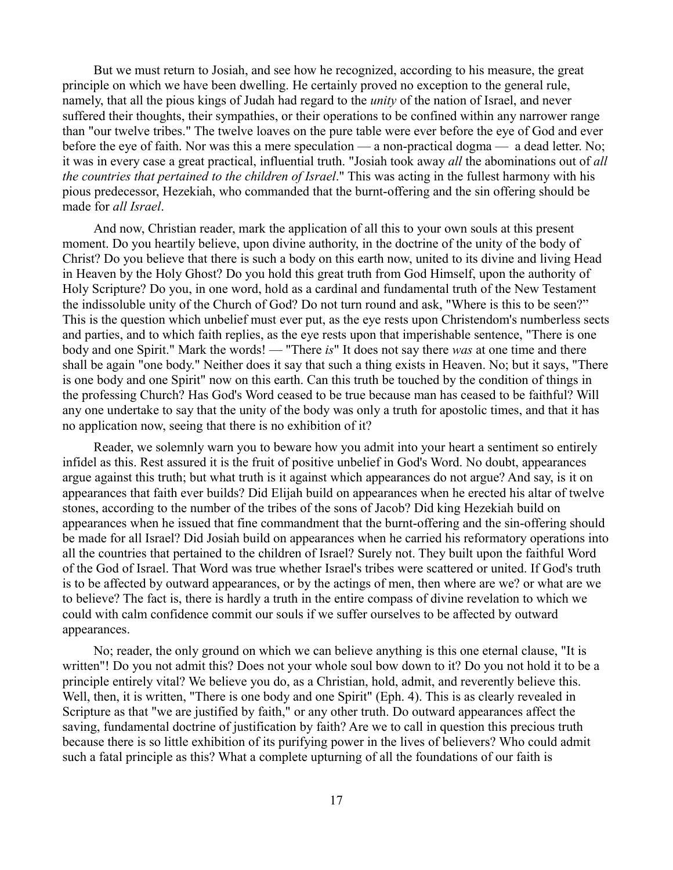But we must return to Josiah, and see how he recognized, according to his measure, the great principle on which we have been dwelling. He certainly proved no exception to the general rule, namely, that all the pious kings of Judah had regard to the *unity* of the nation of Israel, and never suffered their thoughts, their sympathies, or their operations to be confined within any narrower range than "our twelve tribes." The twelve loaves on the pure table were ever before the eye of God and ever before the eye of faith. Nor was this a mere speculation — a non-practical dogma — a dead letter. No; it was in every case a great practical, influential truth. "Josiah took away *all* the abominations out of *all the countries that pertained to the children of Israel*." This was acting in the fullest harmony with his pious predecessor, Hezekiah, who commanded that the burnt-offering and the sin offering should be made for *all Israel*.

And now, Christian reader, mark the application of all this to your own souls at this present moment. Do you heartily believe, upon divine authority, in the doctrine of the unity of the body of Christ? Do you believe that there is such a body on this earth now, united to its divine and living Head in Heaven by the Holy Ghost? Do you hold this great truth from God Himself, upon the authority of Holy Scripture? Do you, in one word, hold as a cardinal and fundamental truth of the New Testament the indissoluble unity of the Church of God? Do not turn round and ask, "Where is this to be seen?" This is the question which unbelief must ever put, as the eye rests upon Christendom's numberless sects and parties, and to which faith replies, as the eye rests upon that imperishable sentence, "There is one body and one Spirit." Mark the words! — "There *is*" It does not say there *was* at one time and there shall be again "one body." Neither does it say that such a thing exists in Heaven. No; but it says, "There is one body and one Spirit" now on this earth. Can this truth be touched by the condition of things in the professing Church? Has God's Word ceased to be true because man has ceased to be faithful? Will any one undertake to say that the unity of the body was only a truth for apostolic times, and that it has no application now, seeing that there is no exhibition of it?

Reader, we solemnly warn you to beware how you admit into your heart a sentiment so entirely infidel as this. Rest assured it is the fruit of positive unbelief in God's Word. No doubt, appearances argue against this truth; but what truth is it against which appearances do not argue? And say, is it on appearances that faith ever builds? Did Elijah build on appearances when he erected his altar of twelve stones, according to the number of the tribes of the sons of Jacob? Did king Hezekiah build on appearances when he issued that fine commandment that the burnt-offering and the sin-offering should be made for all Israel? Did Josiah build on appearances when he carried his reformatory operations into all the countries that pertained to the children of Israel? Surely not. They built upon the faithful Word of the God of Israel. That Word was true whether Israel's tribes were scattered or united. If God's truth is to be affected by outward appearances, or by the actings of men, then where are we? or what are we to believe? The fact is, there is hardly a truth in the entire compass of divine revelation to which we could with calm confidence commit our souls if we suffer ourselves to be affected by outward appearances.

No; reader, the only ground on which we can believe anything is this one eternal clause, "It is written"! Do you not admit this? Does not your whole soul bow down to it? Do you not hold it to be a principle entirely vital? We believe you do, as a Christian, hold, admit, and reverently believe this. Well, then, it is written, "There is one body and one Spirit" (Eph. 4). This is as clearly revealed in Scripture as that "we are justified by faith," or any other truth. Do outward appearances affect the saving, fundamental doctrine of justification by faith? Are we to call in question this precious truth because there is so little exhibition of its purifying power in the lives of believers? Who could admit such a fatal principle as this? What a complete upturning of all the foundations of our faith is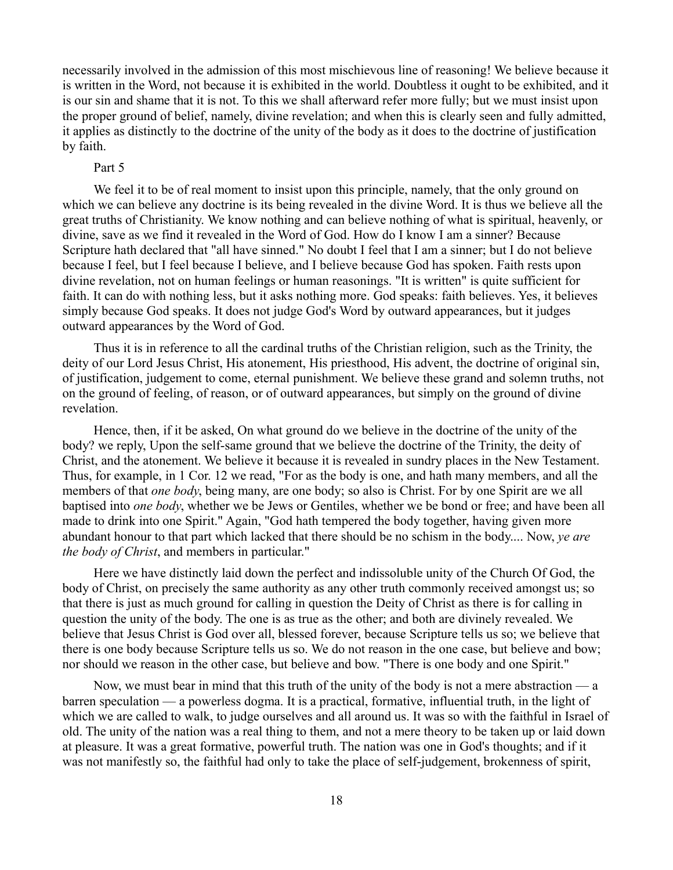necessarily involved in the admission of this most mischievous line of reasoning! We believe because it is written in the Word, not because it is exhibited in the world. Doubtless it ought to be exhibited, and it is our sin and shame that it is not. To this we shall afterward refer more fully; but we must insist upon the proper ground of belief, namely, divine revelation; and when this is clearly seen and fully admitted, it applies as distinctly to the doctrine of the unity of the body as it does to the doctrine of justification by faith.

### Part 5

We feel it to be of real moment to insist upon this principle, namely, that the only ground on which we can believe any doctrine is its being revealed in the divine Word. It is thus we believe all the great truths of Christianity. We know nothing and can believe nothing of what is spiritual, heavenly, or divine, save as we find it revealed in the Word of God. How do I know I am a sinner? Because Scripture hath declared that "all have sinned." No doubt I feel that I am a sinner; but I do not believe because I feel, but I feel because I believe, and I believe because God has spoken. Faith rests upon divine revelation, not on human feelings or human reasonings. "It is written" is quite sufficient for faith. It can do with nothing less, but it asks nothing more. God speaks: faith believes. Yes, it believes simply because God speaks. It does not judge God's Word by outward appearances, but it judges outward appearances by the Word of God.

Thus it is in reference to all the cardinal truths of the Christian religion, such as the Trinity, the deity of our Lord Jesus Christ, His atonement, His priesthood, His advent, the doctrine of original sin, of justification, judgement to come, eternal punishment. We believe these grand and solemn truths, not on the ground of feeling, of reason, or of outward appearances, but simply on the ground of divine revelation.

Hence, then, if it be asked, On what ground do we believe in the doctrine of the unity of the body? we reply, Upon the self-same ground that we believe the doctrine of the Trinity, the deity of Christ, and the atonement. We believe it because it is revealed in sundry places in the New Testament. Thus, for example, in 1 Cor. 12 we read, "For as the body is one, and hath many members, and all the members of that *one body*, being many, are one body; so also is Christ. For by one Spirit are we all baptised into *one body*, whether we be Jews or Gentiles, whether we be bond or free; and have been all made to drink into one Spirit." Again, "God hath tempered the body together, having given more abundant honour to that part which lacked that there should be no schism in the body.... Now, *ye are the body of Christ*, and members in particular."

Here we have distinctly laid down the perfect and indissoluble unity of the Church Of God, the body of Christ, on precisely the same authority as any other truth commonly received amongst us; so that there is just as much ground for calling in question the Deity of Christ as there is for calling in question the unity of the body. The one is as true as the other; and both are divinely revealed. We believe that Jesus Christ is God over all, blessed forever, because Scripture tells us so; we believe that there is one body because Scripture tells us so. We do not reason in the one case, but believe and bow; nor should we reason in the other case, but believe and bow. "There is one body and one Spirit."

Now, we must bear in mind that this truth of the unity of the body is not a mere abstraction — a barren speculation — a powerless dogma. It is a practical, formative, influential truth, in the light of which we are called to walk, to judge ourselves and all around us. It was so with the faithful in Israel of old. The unity of the nation was a real thing to them, and not a mere theory to be taken up or laid down at pleasure. It was a great formative, powerful truth. The nation was one in God's thoughts; and if it was not manifestly so, the faithful had only to take the place of self-judgement, brokenness of spirit,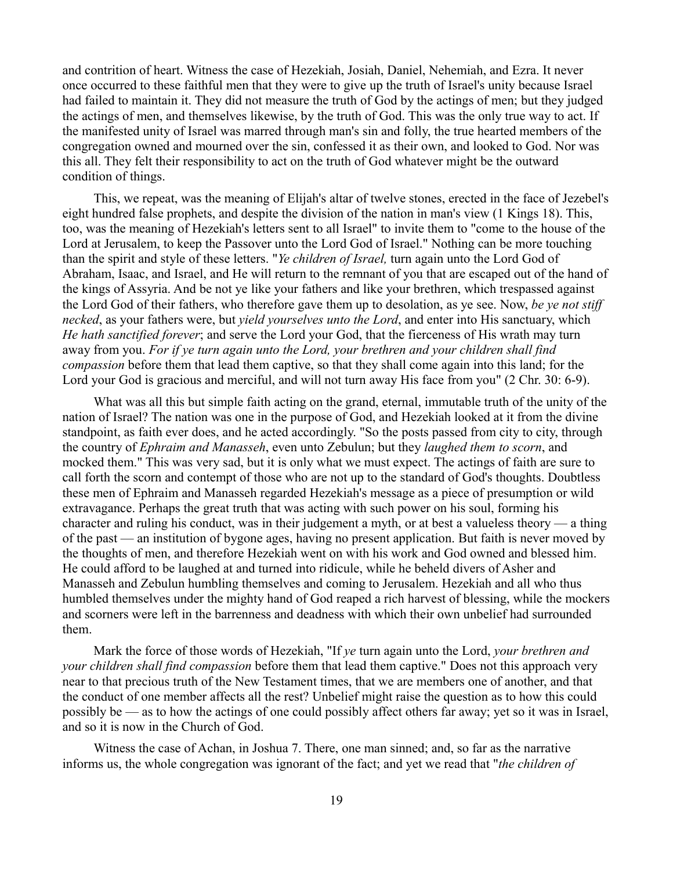and contrition of heart. Witness the case of Hezekiah, Josiah, Daniel, Nehemiah, and Ezra. It never once occurred to these faithful men that they were to give up the truth of Israel's unity because Israel had failed to maintain it. They did not measure the truth of God by the actings of men; but they judged the actings of men, and themselves likewise, by the truth of God. This was the only true way to act. If the manifested unity of Israel was marred through man's sin and folly, the true hearted members of the congregation owned and mourned over the sin, confessed it as their own, and looked to God. Nor was this all. They felt their responsibility to act on the truth of God whatever might be the outward condition of things.

This, we repeat, was the meaning of Elijah's altar of twelve stones, erected in the face of Jezebel's eight hundred false prophets, and despite the division of the nation in man's view (1 Kings 18). This, too, was the meaning of Hezekiah's letters sent to all Israel" to invite them to "come to the house of the Lord at Jerusalem, to keep the Passover unto the Lord God of Israel." Nothing can be more touching than the spirit and style of these letters. "*Ye children of Israel,* turn again unto the Lord God of Abraham, Isaac, and Israel, and He will return to the remnant of you that are escaped out of the hand of the kings of Assyria. And be not ye like your fathers and like your brethren, which trespassed against the Lord God of their fathers, who therefore gave them up to desolation, as ye see. Now, *be ye not stiff necked*, as your fathers were, but *yield yourselves unto the Lord*, and enter into His sanctuary, which *He hath sanctified forever*; and serve the Lord your God, that the fierceness of His wrath may turn away from you. *For if ye turn again unto the Lord, your brethren and your children shall find compassion* before them that lead them captive, so that they shall come again into this land; for the Lord your God is gracious and merciful, and will not turn away His face from you" (2 Chr. 30: 6-9).

What was all this but simple faith acting on the grand, eternal, immutable truth of the unity of the nation of Israel? The nation was one in the purpose of God, and Hezekiah looked at it from the divine standpoint, as faith ever does, and he acted accordingly. "So the posts passed from city to city, through the country of *Ephraim and Manasseh*, even unto Zebulun; but they *laughed them to scorn*, and mocked them." This was very sad, but it is only what we must expect. The actings of faith are sure to call forth the scorn and contempt of those who are not up to the standard of God's thoughts. Doubtless these men of Ephraim and Manasseh regarded Hezekiah's message as a piece of presumption or wild extravagance. Perhaps the great truth that was acting with such power on his soul, forming his character and ruling his conduct, was in their judgement a myth, or at best a valueless theory — a thing of the past — an institution of bygone ages, having no present application. But faith is never moved by the thoughts of men, and therefore Hezekiah went on with his work and God owned and blessed him. He could afford to be laughed at and turned into ridicule, while he beheld divers of Asher and Manasseh and Zebulun humbling themselves and coming to Jerusalem. Hezekiah and all who thus humbled themselves under the mighty hand of God reaped a rich harvest of blessing, while the mockers and scorners were left in the barrenness and deadness with which their own unbelief had surrounded them.

Mark the force of those words of Hezekiah, "If *ye* turn again unto the Lord, *your brethren and your children shall find compassion* before them that lead them captive." Does not this approach very near to that precious truth of the New Testament times, that we are members one of another, and that the conduct of one member affects all the rest? Unbelief might raise the question as to how this could possibly be — as to how the actings of one could possibly affect others far away; yet so it was in Israel, and so it is now in the Church of God.

Witness the case of Achan, in Joshua 7. There, one man sinned; and, so far as the narrative informs us, the whole congregation was ignorant of the fact; and yet we read that "*the children of*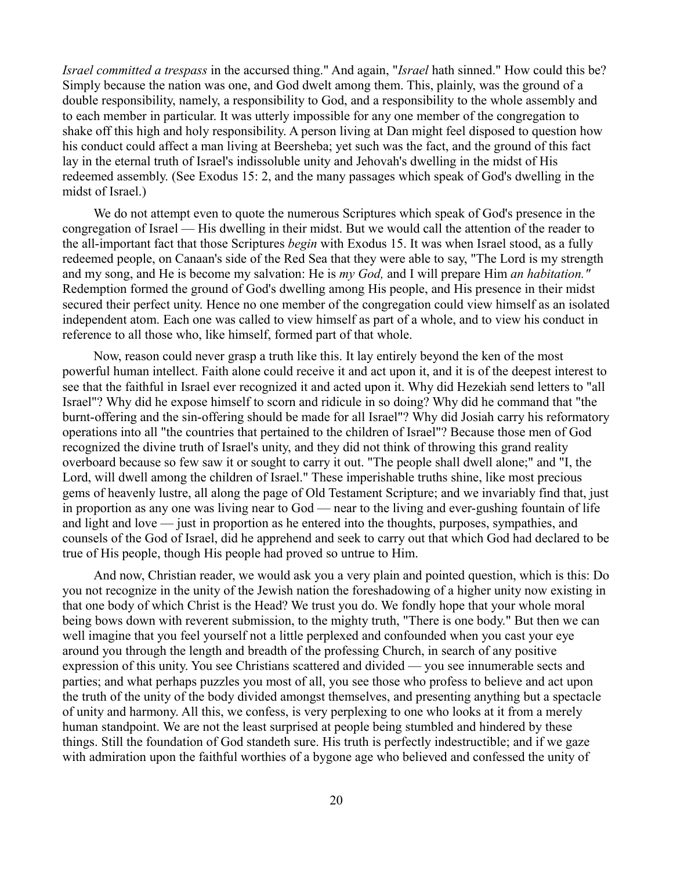*Israel committed a trespass* in the accursed thing." And again, "*Israel* hath sinned." How could this be? Simply because the nation was one, and God dwelt among them. This, plainly, was the ground of a double responsibility, namely, a responsibility to God, and a responsibility to the whole assembly and to each member in particular. It was utterly impossible for any one member of the congregation to shake off this high and holy responsibility. A person living at Dan might feel disposed to question how his conduct could affect a man living at Beersheba; yet such was the fact, and the ground of this fact lay in the eternal truth of Israel's indissoluble unity and Jehovah's dwelling in the midst of His redeemed assembly. (See Exodus 15: 2, and the many passages which speak of God's dwelling in the midst of Israel.)

We do not attempt even to quote the numerous Scriptures which speak of God's presence in the congregation of Israel — His dwelling in their midst. But we would call the attention of the reader to the all-important fact that those Scriptures *begin* with Exodus 15. It was when Israel stood, as a fully redeemed people, on Canaan's side of the Red Sea that they were able to say, "The Lord is my strength and my song, and He is become my salvation: He is *my God,* and I will prepare Him *an habitation."* Redemption formed the ground of God's dwelling among His people, and His presence in their midst secured their perfect unity. Hence no one member of the congregation could view himself as an isolated independent atom. Each one was called to view himself as part of a whole, and to view his conduct in reference to all those who, like himself, formed part of that whole.

Now, reason could never grasp a truth like this. It lay entirely beyond the ken of the most powerful human intellect. Faith alone could receive it and act upon it, and it is of the deepest interest to see that the faithful in Israel ever recognized it and acted upon it. Why did Hezekiah send letters to "all Israel"? Why did he expose himself to scorn and ridicule in so doing? Why did he command that "the burnt-offering and the sin-offering should be made for all Israel"? Why did Josiah carry his reformatory operations into all "the countries that pertained to the children of Israel"? Because those men of God recognized the divine truth of Israel's unity, and they did not think of throwing this grand reality overboard because so few saw it or sought to carry it out. "The people shall dwell alone;" and "I, the Lord, will dwell among the children of Israel." These imperishable truths shine, like most precious gems of heavenly lustre, all along the page of Old Testament Scripture; and we invariably find that, just in proportion as any one was living near to God — near to the living and ever-gushing fountain of life and light and love — just in proportion as he entered into the thoughts, purposes, sympathies, and counsels of the God of Israel, did he apprehend and seek to carry out that which God had declared to be true of His people, though His people had proved so untrue to Him.

And now, Christian reader, we would ask you a very plain and pointed question, which is this: Do you not recognize in the unity of the Jewish nation the foreshadowing of a higher unity now existing in that one body of which Christ is the Head? We trust you do. We fondly hope that your whole moral being bows down with reverent submission, to the mighty truth, "There is one body." But then we can well imagine that you feel yourself not a little perplexed and confounded when you cast your eye around you through the length and breadth of the professing Church, in search of any positive expression of this unity. You see Christians scattered and divided — you see innumerable sects and parties; and what perhaps puzzles you most of all, you see those who profess to believe and act upon the truth of the unity of the body divided amongst themselves, and presenting anything but a spectacle of unity and harmony. All this, we confess, is very perplexing to one who looks at it from a merely human standpoint. We are not the least surprised at people being stumbled and hindered by these things. Still the foundation of God standeth sure. His truth is perfectly indestructible; and if we gaze with admiration upon the faithful worthies of a bygone age who believed and confessed the unity of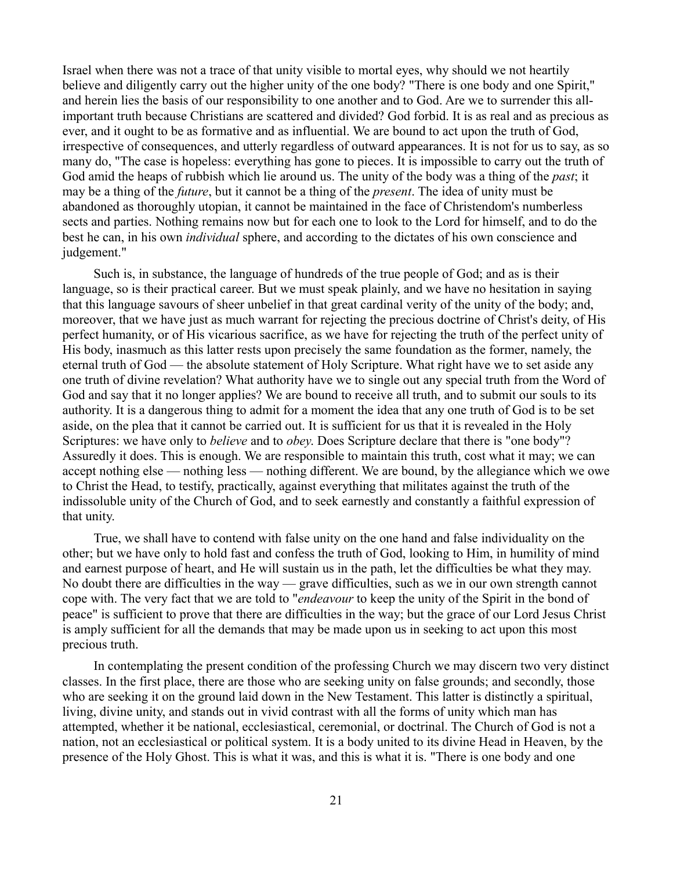Israel when there was not a trace of that unity visible to mortal eyes, why should we not heartily believe and diligently carry out the higher unity of the one body? "There is one body and one Spirit," and herein lies the basis of our responsibility to one another and to God. Are we to surrender this allimportant truth because Christians are scattered and divided? God forbid. It is as real and as precious as ever, and it ought to be as formative and as influential. We are bound to act upon the truth of God, irrespective of consequences, and utterly regardless of outward appearances. It is not for us to say, as so many do, "The case is hopeless: everything has gone to pieces. It is impossible to carry out the truth of God amid the heaps of rubbish which lie around us. The unity of the body was a thing of the *past*; it may be a thing of the *future*, but it cannot be a thing of the *present*. The idea of unity must be abandoned as thoroughly utopian, it cannot be maintained in the face of Christendom's numberless sects and parties. Nothing remains now but for each one to look to the Lord for himself, and to do the best he can, in his own *individual* sphere, and according to the dictates of his own conscience and judgement."

Such is, in substance, the language of hundreds of the true people of God; and as is their language, so is their practical career. But we must speak plainly, and we have no hesitation in saying that this language savours of sheer unbelief in that great cardinal verity of the unity of the body; and, moreover, that we have just as much warrant for rejecting the precious doctrine of Christ's deity, of His perfect humanity, or of His vicarious sacrifice, as we have for rejecting the truth of the perfect unity of His body, inasmuch as this latter rests upon precisely the same foundation as the former, namely, the eternal truth of God — the absolute statement of Holy Scripture. What right have we to set aside any one truth of divine revelation? What authority have we to single out any special truth from the Word of God and say that it no longer applies? We are bound to receive all truth, and to submit our souls to its authority. It is a dangerous thing to admit for a moment the idea that any one truth of God is to be set aside, on the plea that it cannot be carried out. It is sufficient for us that it is revealed in the Holy Scriptures: we have only to *believe* and to *obey*. Does Scripture declare that there is "one body"? Assuredly it does. This is enough. We are responsible to maintain this truth, cost what it may; we can accept nothing else — nothing less — nothing different. We are bound, by the allegiance which we owe to Christ the Head, to testify, practically, against everything that militates against the truth of the indissoluble unity of the Church of God, and to seek earnestly and constantly a faithful expression of that unity.

True, we shall have to contend with false unity on the one hand and false individuality on the other; but we have only to hold fast and confess the truth of God, looking to Him, in humility of mind and earnest purpose of heart, and He will sustain us in the path, let the difficulties be what they may. No doubt there are difficulties in the way — grave difficulties, such as we in our own strength cannot cope with. The very fact that we are told to "*endeavour* to keep the unity of the Spirit in the bond of peace" is sufficient to prove that there are difficulties in the way; but the grace of our Lord Jesus Christ is amply sufficient for all the demands that may be made upon us in seeking to act upon this most precious truth.

In contemplating the present condition of the professing Church we may discern two very distinct classes. In the first place, there are those who are seeking unity on false grounds; and secondly, those who are seeking it on the ground laid down in the New Testament. This latter is distinctly a spiritual, living, divine unity, and stands out in vivid contrast with all the forms of unity which man has attempted, whether it be national, ecclesiastical, ceremonial, or doctrinal. The Church of God is not a nation, not an ecclesiastical or political system. It is a body united to its divine Head in Heaven, by the presence of the Holy Ghost. This is what it was, and this is what it is. "There is one body and one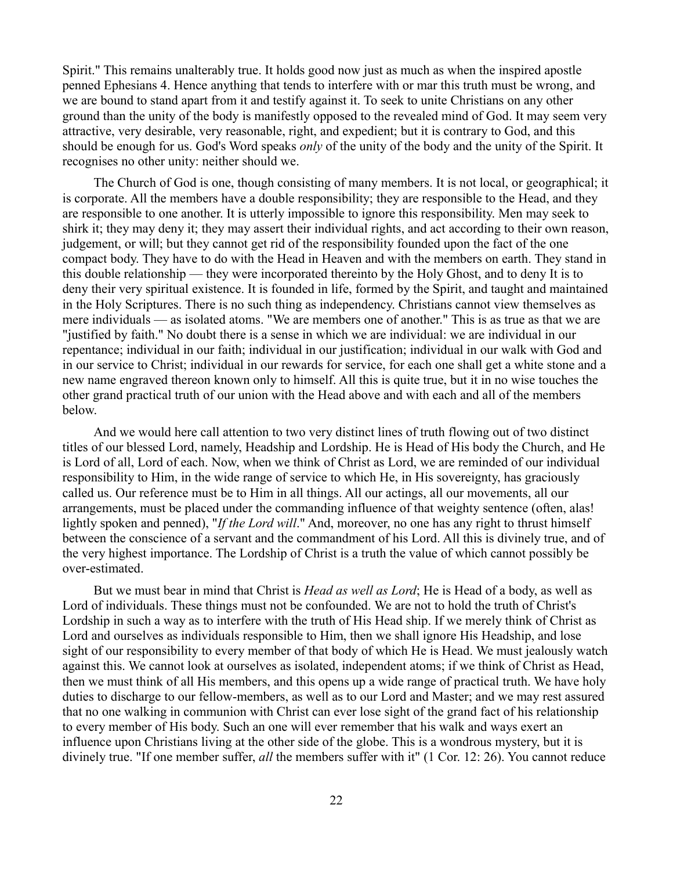Spirit." This remains unalterably true. It holds good now just as much as when the inspired apostle penned Ephesians 4. Hence anything that tends to interfere with or mar this truth must be wrong, and we are bound to stand apart from it and testify against it. To seek to unite Christians on any other ground than the unity of the body is manifestly opposed to the revealed mind of God. It may seem very attractive, very desirable, very reasonable, right, and expedient; but it is contrary to God, and this should be enough for us. God's Word speaks *only* of the unity of the body and the unity of the Spirit. It recognises no other unity: neither should we.

The Church of God is one, though consisting of many members. It is not local, or geographical; it is corporate. All the members have a double responsibility; they are responsible to the Head, and they are responsible to one another. It is utterly impossible to ignore this responsibility. Men may seek to shirk it; they may deny it; they may assert their individual rights, and act according to their own reason, judgement, or will; but they cannot get rid of the responsibility founded upon the fact of the one compact body. They have to do with the Head in Heaven and with the members on earth. They stand in this double relationship — they were incorporated thereinto by the Holy Ghost, and to deny It is to deny their very spiritual existence. It is founded in life, formed by the Spirit, and taught and maintained in the Holy Scriptures. There is no such thing as independency. Christians cannot view themselves as mere individuals — as isolated atoms. "We are members one of another." This is as true as that we are "justified by faith." No doubt there is a sense in which we are individual: we are individual in our repentance; individual in our faith; individual in our justification; individual in our walk with God and in our service to Christ; individual in our rewards for service, for each one shall get a white stone and a new name engraved thereon known only to himself. All this is quite true, but it in no wise touches the other grand practical truth of our union with the Head above and with each and all of the members below.

And we would here call attention to two very distinct lines of truth flowing out of two distinct titles of our blessed Lord, namely, Headship and Lordship. He is Head of His body the Church, and He is Lord of all, Lord of each. Now, when we think of Christ as Lord, we are reminded of our individual responsibility to Him, in the wide range of service to which He, in His sovereignty, has graciously called us. Our reference must be to Him in all things. All our actings, all our movements, all our arrangements, must be placed under the commanding influence of that weighty sentence (often, alas! lightly spoken and penned), "*If the Lord will*." And, moreover, no one has any right to thrust himself between the conscience of a servant and the commandment of his Lord. All this is divinely true, and of the very highest importance. The Lordship of Christ is a truth the value of which cannot possibly be over-estimated.

But we must bear in mind that Christ is *Head as well as Lord*; He is Head of a body, as well as Lord of individuals. These things must not be confounded. We are not to hold the truth of Christ's Lordship in such a way as to interfere with the truth of His Head ship. If we merely think of Christ as Lord and ourselves as individuals responsible to Him, then we shall ignore His Headship, and lose sight of our responsibility to every member of that body of which He is Head. We must jealously watch against this. We cannot look at ourselves as isolated, independent atoms; if we think of Christ as Head, then we must think of all His members, and this opens up a wide range of practical truth. We have holy duties to discharge to our fellow-members, as well as to our Lord and Master; and we may rest assured that no one walking in communion with Christ can ever lose sight of the grand fact of his relationship to every member of His body. Such an one will ever remember that his walk and ways exert an influence upon Christians living at the other side of the globe. This is a wondrous mystery, but it is divinely true. "If one member suffer, *all* the members suffer with it" (1 Cor. 12: 26). You cannot reduce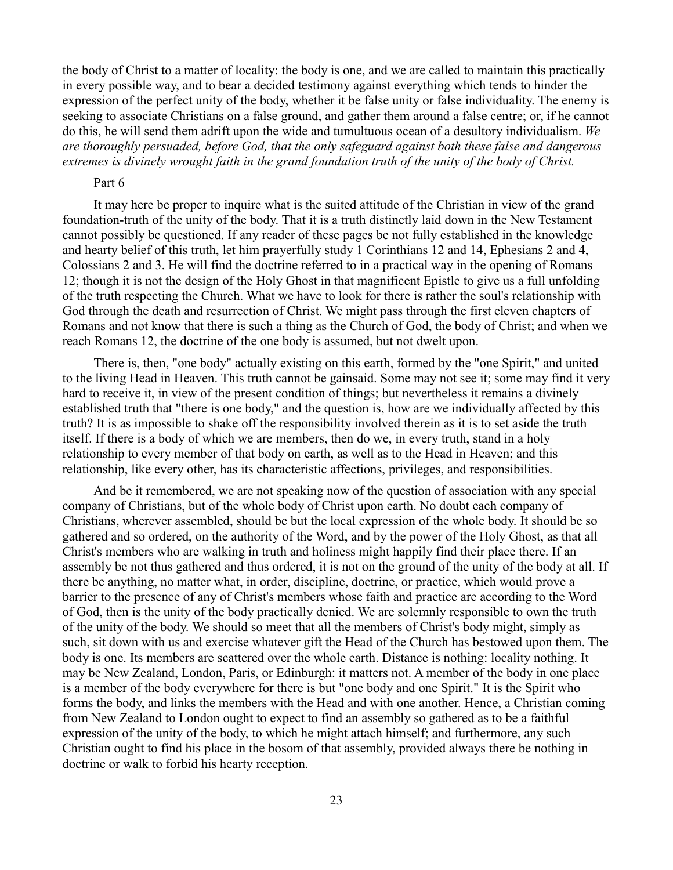the body of Christ to a matter of locality: the body is one, and we are called to maintain this practically in every possible way, and to bear a decided testimony against everything which tends to hinder the expression of the perfect unity of the body, whether it be false unity or false individuality. The enemy is seeking to associate Christians on a false ground, and gather them around a false centre; or, if he cannot do this, he will send them adrift upon the wide and tumultuous ocean of a desultory individualism. *We are thoroughly persuaded, before God, that the only safeguard against both these false and dangerous extremes is divinely wrought faith in the grand foundation truth of the unity of the body of Christ.*

### Part 6

It may here be proper to inquire what is the suited attitude of the Christian in view of the grand foundation-truth of the unity of the body. That it is a truth distinctly laid down in the New Testament cannot possibly be questioned. If any reader of these pages be not fully established in the knowledge and hearty belief of this truth, let him prayerfully study 1 Corinthians 12 and 14, Ephesians 2 and 4, Colossians 2 and 3. He will find the doctrine referred to in a practical way in the opening of Romans 12; though it is not the design of the Holy Ghost in that magnificent Epistle to give us a full unfolding of the truth respecting the Church. What we have to look for there is rather the soul's relationship with God through the death and resurrection of Christ. We might pass through the first eleven chapters of Romans and not know that there is such a thing as the Church of God, the body of Christ; and when we reach Romans 12, the doctrine of the one body is assumed, but not dwelt upon.

There is, then, "one body" actually existing on this earth, formed by the "one Spirit," and united to the living Head in Heaven. This truth cannot be gainsaid. Some may not see it; some may find it very hard to receive it, in view of the present condition of things; but nevertheless it remains a divinely established truth that "there is one body," and the question is, how are we individually affected by this truth? It is as impossible to shake off the responsibility involved therein as it is to set aside the truth itself. If there is a body of which we are members, then do we, in every truth, stand in a holy relationship to every member of that body on earth, as well as to the Head in Heaven; and this relationship, like every other, has its characteristic affections, privileges, and responsibilities.

And be it remembered, we are not speaking now of the question of association with any special company of Christians, but of the whole body of Christ upon earth. No doubt each company of Christians, wherever assembled, should be but the local expression of the whole body. It should be so gathered and so ordered, on the authority of the Word, and by the power of the Holy Ghost, as that all Christ's members who are walking in truth and holiness might happily find their place there. If an assembly be not thus gathered and thus ordered, it is not on the ground of the unity of the body at all. If there be anything, no matter what, in order, discipline, doctrine, or practice, which would prove a barrier to the presence of any of Christ's members whose faith and practice are according to the Word of God, then is the unity of the body practically denied. We are solemnly responsible to own the truth of the unity of the body. We should so meet that all the members of Christ's body might, simply as such, sit down with us and exercise whatever gift the Head of the Church has bestowed upon them. The body is one. Its members are scattered over the whole earth. Distance is nothing: locality nothing. It may be New Zealand, London, Paris, or Edinburgh: it matters not. A member of the body in one place is a member of the body everywhere for there is but "one body and one Spirit." It is the Spirit who forms the body, and links the members with the Head and with one another. Hence, a Christian coming from New Zealand to London ought to expect to find an assembly so gathered as to be a faithful expression of the unity of the body, to which he might attach himself; and furthermore, any such Christian ought to find his place in the bosom of that assembly, provided always there be nothing in doctrine or walk to forbid his hearty reception.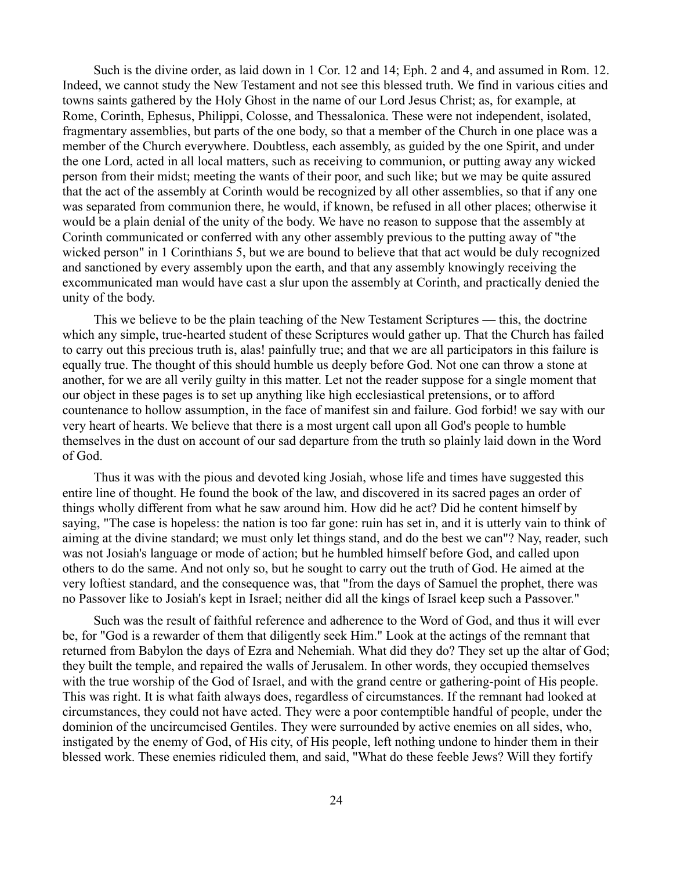Such is the divine order, as laid down in 1 Cor. 12 and 14; Eph. 2 and 4, and assumed in Rom. 12. Indeed, we cannot study the New Testament and not see this blessed truth. We find in various cities and towns saints gathered by the Holy Ghost in the name of our Lord Jesus Christ; as, for example, at Rome, Corinth, Ephesus, Philippi, Colosse, and Thessalonica. These were not independent, isolated, fragmentary assemblies, but parts of the one body, so that a member of the Church in one place was a member of the Church everywhere. Doubtless, each assembly, as guided by the one Spirit, and under the one Lord, acted in all local matters, such as receiving to communion, or putting away any wicked person from their midst; meeting the wants of their poor, and such like; but we may be quite assured that the act of the assembly at Corinth would be recognized by all other assemblies, so that if any one was separated from communion there, he would, if known, be refused in all other places; otherwise it would be a plain denial of the unity of the body. We have no reason to suppose that the assembly at Corinth communicated or conferred with any other assembly previous to the putting away of "the wicked person" in 1 Corinthians 5, but we are bound to believe that that act would be duly recognized and sanctioned by every assembly upon the earth, and that any assembly knowingly receiving the excommunicated man would have cast a slur upon the assembly at Corinth, and practically denied the unity of the body.

This we believe to be the plain teaching of the New Testament Scriptures — this, the doctrine which any simple, true-hearted student of these Scriptures would gather up. That the Church has failed to carry out this precious truth is, alas! painfully true; and that we are all participators in this failure is equally true. The thought of this should humble us deeply before God. Not one can throw a stone at another, for we are all verily guilty in this matter. Let not the reader suppose for a single moment that our object in these pages is to set up anything like high ecclesiastical pretensions, or to afford countenance to hollow assumption, in the face of manifest sin and failure. God forbid! we say with our very heart of hearts. We believe that there is a most urgent call upon all God's people to humble themselves in the dust on account of our sad departure from the truth so plainly laid down in the Word of God.

Thus it was with the pious and devoted king Josiah, whose life and times have suggested this entire line of thought. He found the book of the law, and discovered in its sacred pages an order of things wholly different from what he saw around him. How did he act? Did he content himself by saying, "The case is hopeless: the nation is too far gone: ruin has set in, and it is utterly vain to think of aiming at the divine standard; we must only let things stand, and do the best we can"? Nay, reader, such was not Josiah's language or mode of action; but he humbled himself before God, and called upon others to do the same. And not only so, but he sought to carry out the truth of God. He aimed at the very loftiest standard, and the consequence was, that "from the days of Samuel the prophet, there was no Passover like to Josiah's kept in Israel; neither did all the kings of Israel keep such a Passover."

Such was the result of faithful reference and adherence to the Word of God, and thus it will ever be, for "God is a rewarder of them that diligently seek Him." Look at the actings of the remnant that returned from Babylon the days of Ezra and Nehemiah. What did they do? They set up the altar of God; they built the temple, and repaired the walls of Jerusalem. In other words, they occupied themselves with the true worship of the God of Israel, and with the grand centre or gathering-point of His people. This was right. It is what faith always does, regardless of circumstances. If the remnant had looked at circumstances, they could not have acted. They were a poor contemptible handful of people, under the dominion of the uncircumcised Gentiles. They were surrounded by active enemies on all sides, who, instigated by the enemy of God, of His city, of His people, left nothing undone to hinder them in their blessed work. These enemies ridiculed them, and said, "What do these feeble Jews? Will they fortify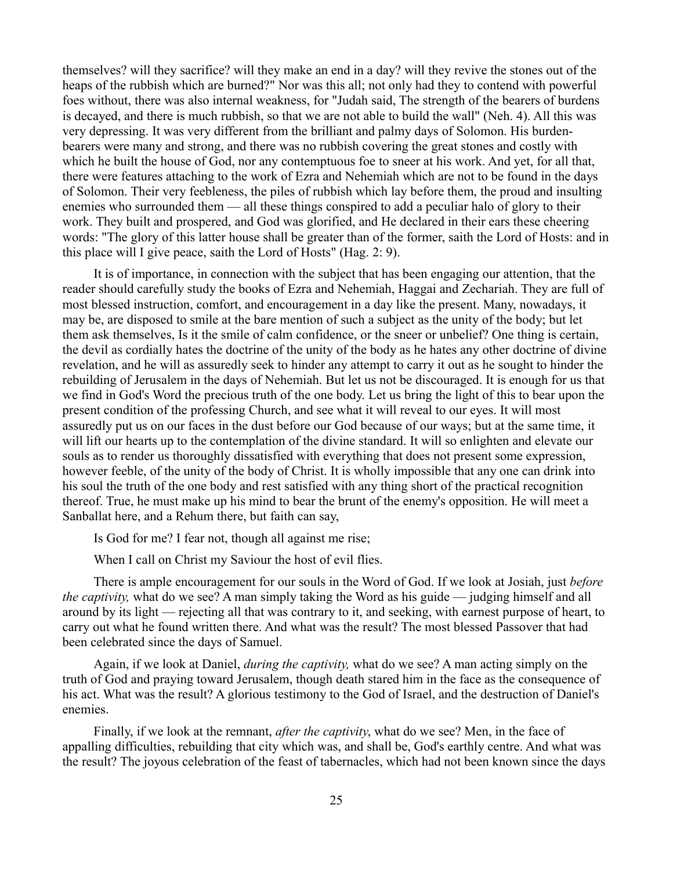themselves? will they sacrifice? will they make an end in a day? will they revive the stones out of the heaps of the rubbish which are burned?" Nor was this all; not only had they to contend with powerful foes without, there was also internal weakness, for "Judah said, The strength of the bearers of burdens is decayed, and there is much rubbish, so that we are not able to build the wall" (Neh. 4). All this was very depressing. It was very different from the brilliant and palmy days of Solomon. His burdenbearers were many and strong, and there was no rubbish covering the great stones and costly with which he built the house of God, nor any contemptuous foe to sneer at his work. And yet, for all that, there were features attaching to the work of Ezra and Nehemiah which are not to be found in the days of Solomon. Their very feebleness, the piles of rubbish which lay before them, the proud and insulting enemies who surrounded them — all these things conspired to add a peculiar halo of glory to their work. They built and prospered, and God was glorified, and He declared in their ears these cheering words: "The glory of this latter house shall be greater than of the former, saith the Lord of Hosts: and in this place will I give peace, saith the Lord of Hosts" (Hag. 2: 9).

It is of importance, in connection with the subject that has been engaging our attention, that the reader should carefully study the books of Ezra and Nehemiah, Haggai and Zechariah. They are full of most blessed instruction, comfort, and encouragement in a day like the present. Many, nowadays, it may be, are disposed to smile at the bare mention of such a subject as the unity of the body; but let them ask themselves, Is it the smile of calm confidence, or the sneer or unbelief? One thing is certain, the devil as cordially hates the doctrine of the unity of the body as he hates any other doctrine of divine revelation, and he will as assuredly seek to hinder any attempt to carry it out as he sought to hinder the rebuilding of Jerusalem in the days of Nehemiah. But let us not be discouraged. It is enough for us that we find in God's Word the precious truth of the one body. Let us bring the light of this to bear upon the present condition of the professing Church, and see what it will reveal to our eyes. It will most assuredly put us on our faces in the dust before our God because of our ways; but at the same time, it will lift our hearts up to the contemplation of the divine standard. It will so enlighten and elevate our souls as to render us thoroughly dissatisfied with everything that does not present some expression, however feeble, of the unity of the body of Christ. It is wholly impossible that any one can drink into his soul the truth of the one body and rest satisfied with any thing short of the practical recognition thereof. True, he must make up his mind to bear the brunt of the enemy's opposition. He will meet a Sanballat here, and a Rehum there, but faith can say,

Is God for me? I fear not, though all against me rise;

When I call on Christ my Saviour the host of evil flies.

There is ample encouragement for our souls in the Word of God. If we look at Josiah, just *before the captivity,* what do we see? A man simply taking the Word as his guide — judging himself and all around by its light — rejecting all that was contrary to it, and seeking, with earnest purpose of heart, to carry out what he found written there. And what was the result? The most blessed Passover that had been celebrated since the days of Samuel.

Again, if we look at Daniel, *during the captivity,* what do we see? A man acting simply on the truth of God and praying toward Jerusalem, though death stared him in the face as the consequence of his act. What was the result? A glorious testimony to the God of Israel, and the destruction of Daniel's enemies.

Finally, if we look at the remnant, *after the captivity*, what do we see? Men, in the face of appalling difficulties, rebuilding that city which was, and shall be, God's earthly centre. And what was the result? The joyous celebration of the feast of tabernacles, which had not been known since the days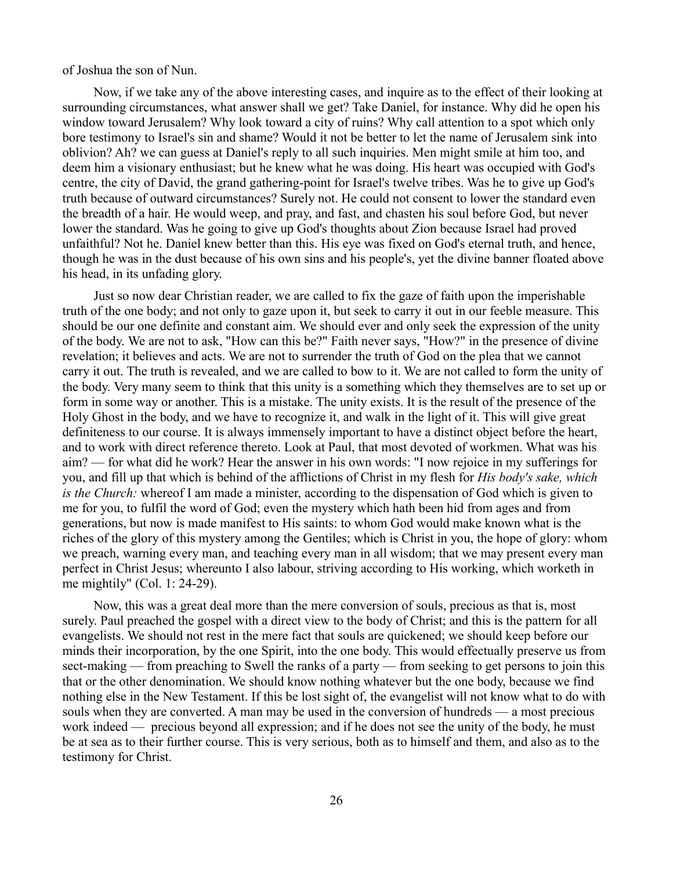of Joshua the son of Nun.

Now, if we take any of the above interesting cases, and inquire as to the effect of their looking at surrounding circumstances, what answer shall we get? Take Daniel, for instance. Why did he open his window toward Jerusalem? Why look toward a city of ruins? Why call attention to a spot which only bore testimony to Israel's sin and shame? Would it not be better to let the name of Jerusalem sink into oblivion? Ah? we can guess at Daniel's reply to all such inquiries. Men might smile at him too, and deem him a visionary enthusiast; but he knew what he was doing. His heart was occupied with God's centre, the city of David, the grand gathering-point for Israel's twelve tribes. Was he to give up God's truth because of outward circumstances? Surely not. He could not consent to lower the standard even the breadth of a hair. He would weep, and pray, and fast, and chasten his soul before God, but never lower the standard. Was he going to give up God's thoughts about Zion because Israel had proved unfaithful? Not he. Daniel knew better than this. His eye was fixed on God's eternal truth, and hence, though he was in the dust because of his own sins and his people's, yet the divine banner floated above his head, in its unfading glory.

Just so now dear Christian reader, we are called to fix the gaze of faith upon the imperishable truth of the one body; and not only to gaze upon it, but seek to carry it out in our feeble measure. This should be our one definite and constant aim. We should ever and only seek the expression of the unity of the body. We are not to ask, "How can this be?" Faith never says, "How?" in the presence of divine revelation; it believes and acts. We are not to surrender the truth of God on the plea that we cannot carry it out. The truth is revealed, and we are called to bow to it. We are not called to form the unity of the body. Very many seem to think that this unity is a something which they themselves are to set up or form in some way or another. This is a mistake. The unity exists. It is the result of the presence of the Holy Ghost in the body, and we have to recognize it, and walk in the light of it. This will give great definiteness to our course. It is always immensely important to have a distinct object before the heart, and to work with direct reference thereto. Look at Paul, that most devoted of workmen. What was his aim? — for what did he work? Hear the answer in his own words: "I now rejoice in my sufferings for you, and fill up that which is behind of the afflictions of Christ in my flesh for *His body's sake, which is the Church:* whereof I am made a minister, according to the dispensation of God which is given to me for you, to fulfil the word of God; even the mystery which hath been hid from ages and from generations, but now is made manifest to His saints: to whom God would make known what is the riches of the glory of this mystery among the Gentiles; which is Christ in you, the hope of glory: whom we preach, warning every man, and teaching every man in all wisdom; that we may present every man perfect in Christ Jesus; whereunto I also labour, striving according to His working, which worketh in me mightily" (Col. 1: 24-29).

Now, this was a great deal more than the mere conversion of souls, precious as that is, most surely. Paul preached the gospel with a direct view to the body of Christ; and this is the pattern for all evangelists. We should not rest in the mere fact that souls are quickened; we should keep before our minds their incorporation, by the one Spirit, into the one body. This would effectually preserve us from sect-making — from preaching to Swell the ranks of a party — from seeking to get persons to join this that or the other denomination. We should know nothing whatever but the one body, because we find nothing else in the New Testament. If this be lost sight of, the evangelist will not know what to do with souls when they are converted. A man may be used in the conversion of hundreds — a most precious work indeed — precious beyond all expression; and if he does not see the unity of the body, he must be at sea as to their further course. This is very serious, both as to himself and them, and also as to the testimony for Christ.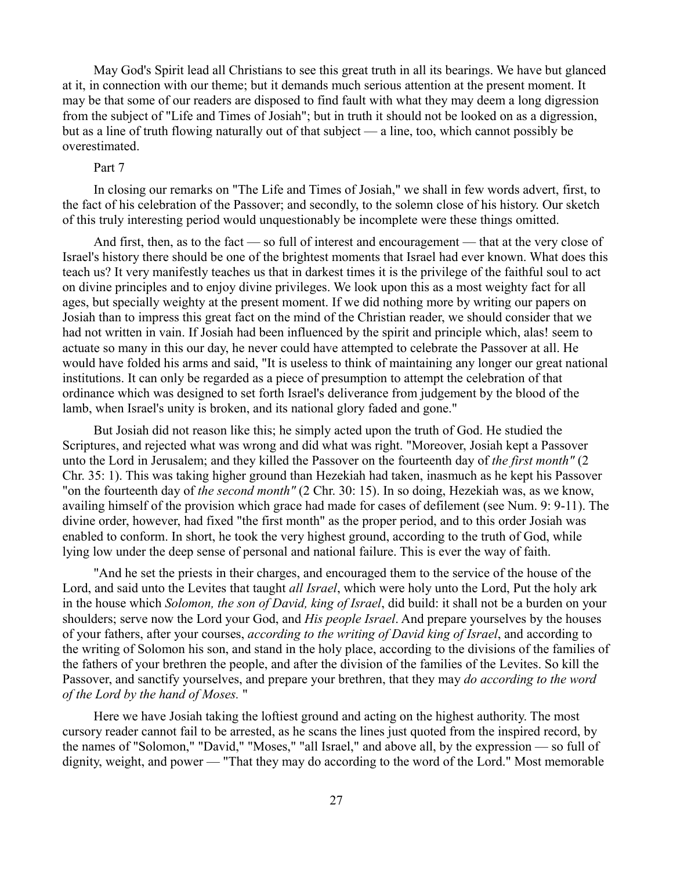May God's Spirit lead all Christians to see this great truth in all its bearings. We have but glanced at it, in connection with our theme; but it demands much serious attention at the present moment. It may be that some of our readers are disposed to find fault with what they may deem a long digression from the subject of "Life and Times of Josiah"; but in truth it should not be looked on as a digression, but as a line of truth flowing naturally out of that subject — a line, too, which cannot possibly be overestimated.

## Part 7

In closing our remarks on "The Life and Times of Josiah," we shall in few words advert, first, to the fact of his celebration of the Passover; and secondly, to the solemn close of his history. Our sketch of this truly interesting period would unquestionably be incomplete were these things omitted.

And first, then, as to the fact — so full of interest and encouragement — that at the very close of Israel's history there should be one of the brightest moments that Israel had ever known. What does this teach us? It very manifestly teaches us that in darkest times it is the privilege of the faithful soul to act on divine principles and to enjoy divine privileges. We look upon this as a most weighty fact for all ages, but specially weighty at the present moment. If we did nothing more by writing our papers on Josiah than to impress this great fact on the mind of the Christian reader, we should consider that we had not written in vain. If Josiah had been influenced by the spirit and principle which, alas! seem to actuate so many in this our day, he never could have attempted to celebrate the Passover at all. He would have folded his arms and said, "It is useless to think of maintaining any longer our great national institutions. It can only be regarded as a piece of presumption to attempt the celebration of that ordinance which was designed to set forth Israel's deliverance from judgement by the blood of the lamb, when Israel's unity is broken, and its national glory faded and gone."

But Josiah did not reason like this; he simply acted upon the truth of God. He studied the Scriptures, and rejected what was wrong and did what was right. "Moreover, Josiah kept a Passover unto the Lord in Jerusalem; and they killed the Passover on the fourteenth day of *the first month"* (2 Chr. 35: 1). This was taking higher ground than Hezekiah had taken, inasmuch as he kept his Passover "on the fourteenth day of *the second month"* (2 Chr. 30: 15). In so doing, Hezekiah was, as we know, availing himself of the provision which grace had made for cases of defilement (see Num. 9: 9-11). The divine order, however, had fixed "the first month" as the proper period, and to this order Josiah was enabled to conform. In short, he took the very highest ground, according to the truth of God, while lying low under the deep sense of personal and national failure. This is ever the way of faith.

"And he set the priests in their charges, and encouraged them to the service of the house of the Lord, and said unto the Levites that taught *all Israel*, which were holy unto the Lord, Put the holy ark in the house which *Solomon, the son of David, king of Israel*, did build: it shall not be a burden on your shoulders; serve now the Lord your God, and *His people Israel*. And prepare yourselves by the houses of your fathers, after your courses, *according to the writing of David king of Israel*, and according to the writing of Solomon his son, and stand in the holy place, according to the divisions of the families of the fathers of your brethren the people, and after the division of the families of the Levites. So kill the Passover, and sanctify yourselves, and prepare your brethren, that they may *do according to the word of the Lord by the hand of Moses.* "

Here we have Josiah taking the loftiest ground and acting on the highest authority. The most cursory reader cannot fail to be arrested, as he scans the lines just quoted from the inspired record, by the names of "Solomon," "David," "Moses," "all Israel," and above all, by the expression — so full of dignity, weight, and power — "That they may do according to the word of the Lord." Most memorable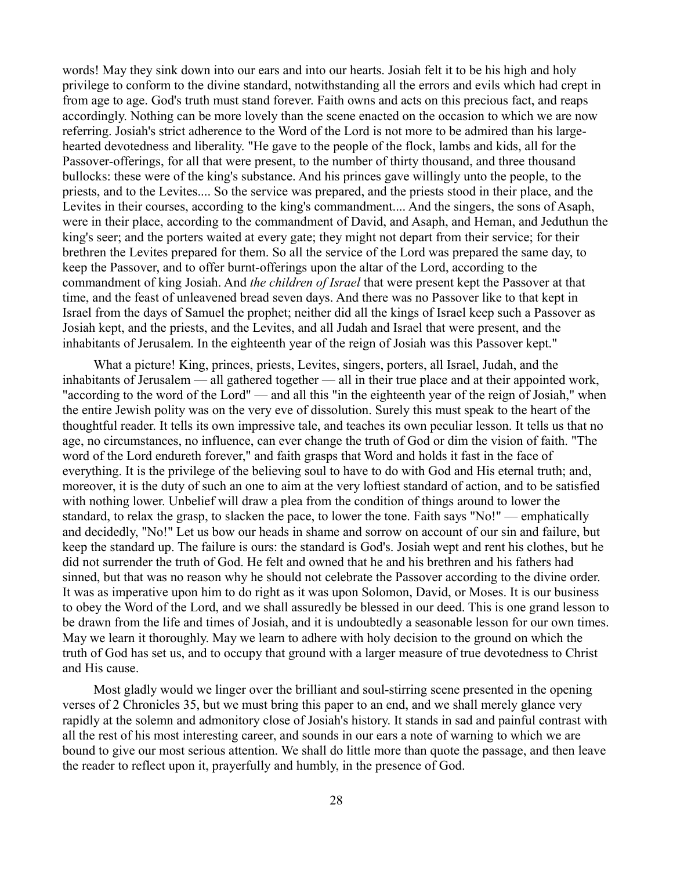words! May they sink down into our ears and into our hearts. Josiah felt it to be his high and holy privilege to conform to the divine standard, notwithstanding all the errors and evils which had crept in from age to age. God's truth must stand forever. Faith owns and acts on this precious fact, and reaps accordingly. Nothing can be more lovely than the scene enacted on the occasion to which we are now referring. Josiah's strict adherence to the Word of the Lord is not more to be admired than his largehearted devotedness and liberality. "He gave to the people of the flock, lambs and kids, all for the Passover-offerings, for all that were present, to the number of thirty thousand, and three thousand bullocks: these were of the king's substance. And his princes gave willingly unto the people, to the priests, and to the Levites.... So the service was prepared, and the priests stood in their place, and the Levites in their courses, according to the king's commandment.... And the singers, the sons of Asaph, were in their place, according to the commandment of David, and Asaph, and Heman, and Jeduthun the king's seer; and the porters waited at every gate; they might not depart from their service; for their brethren the Levites prepared for them. So all the service of the Lord was prepared the same day, to keep the Passover, and to offer burnt-offerings upon the altar of the Lord, according to the commandment of king Josiah. And *the children of Israel* that were present kept the Passover at that time, and the feast of unleavened bread seven days. And there was no Passover like to that kept in Israel from the days of Samuel the prophet; neither did all the kings of Israel keep such a Passover as Josiah kept, and the priests, and the Levites, and all Judah and Israel that were present, and the inhabitants of Jerusalem. In the eighteenth year of the reign of Josiah was this Passover kept."

What a picture! King, princes, priests, Levites, singers, porters, all Israel, Judah, and the inhabitants of Jerusalem — all gathered together — all in their true place and at their appointed work, "according to the word of the Lord" — and all this "in the eighteenth year of the reign of Josiah," when the entire Jewish polity was on the very eve of dissolution. Surely this must speak to the heart of the thoughtful reader. It tells its own impressive tale, and teaches its own peculiar lesson. It tells us that no age, no circumstances, no influence, can ever change the truth of God or dim the vision of faith. "The word of the Lord endureth forever," and faith grasps that Word and holds it fast in the face of everything. It is the privilege of the believing soul to have to do with God and His eternal truth; and, moreover, it is the duty of such an one to aim at the very loftiest standard of action, and to be satisfied with nothing lower. Unbelief will draw a plea from the condition of things around to lower the standard, to relax the grasp, to slacken the pace, to lower the tone. Faith says "No!" — emphatically and decidedly, "No!" Let us bow our heads in shame and sorrow on account of our sin and failure, but keep the standard up. The failure is ours: the standard is God's. Josiah wept and rent his clothes, but he did not surrender the truth of God. He felt and owned that he and his brethren and his fathers had sinned, but that was no reason why he should not celebrate the Passover according to the divine order. It was as imperative upon him to do right as it was upon Solomon, David, or Moses. It is our business to obey the Word of the Lord, and we shall assuredly be blessed in our deed. This is one grand lesson to be drawn from the life and times of Josiah, and it is undoubtedly a seasonable lesson for our own times. May we learn it thoroughly. May we learn to adhere with holy decision to the ground on which the truth of God has set us, and to occupy that ground with a larger measure of true devotedness to Christ and His cause.

Most gladly would we linger over the brilliant and soul-stirring scene presented in the opening verses of 2 Chronicles 35, but we must bring this paper to an end, and we shall merely glance very rapidly at the solemn and admonitory close of Josiah's history. It stands in sad and painful contrast with all the rest of his most interesting career, and sounds in our ears a note of warning to which we are bound to give our most serious attention. We shall do little more than quote the passage, and then leave the reader to reflect upon it, prayerfully and humbly, in the presence of God.